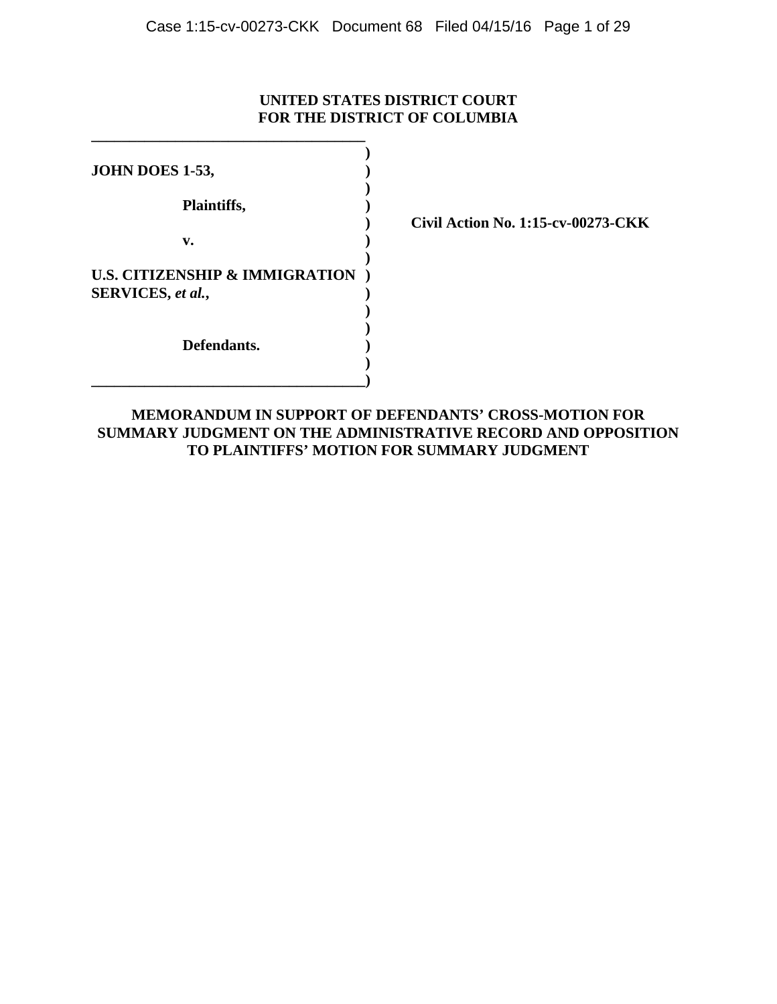### **UNITED STATES DISTRICT COURT FOR THE DISTRICT OF COLUMBIA**

| JOHN DOES 1-53,                           |  |
|-------------------------------------------|--|
|                                           |  |
| Plaintiffs,                               |  |
|                                           |  |
| v.                                        |  |
|                                           |  |
| <b>U.S. CITIZENSHIP &amp; IMMIGRATION</b> |  |
| SERVICES, et al.,                         |  |
|                                           |  |
|                                           |  |
| Defendants.                               |  |
|                                           |  |
|                                           |  |

**\_\_\_\_\_\_\_\_\_\_\_\_\_\_\_\_\_\_\_\_\_\_\_\_\_\_\_\_\_\_\_\_\_\_\_\_** 

 **) Civil Action No. 1:15-cv-00273-CKK** 

## **MEMORANDUM IN SUPPORT OF DEFENDANTS' CROSS-MOTION FOR SUMMARY JUDGMENT ON THE ADMINISTRATIVE RECORD AND OPPOSITION TO PLAINTIFFS' MOTION FOR SUMMARY JUDGMENT**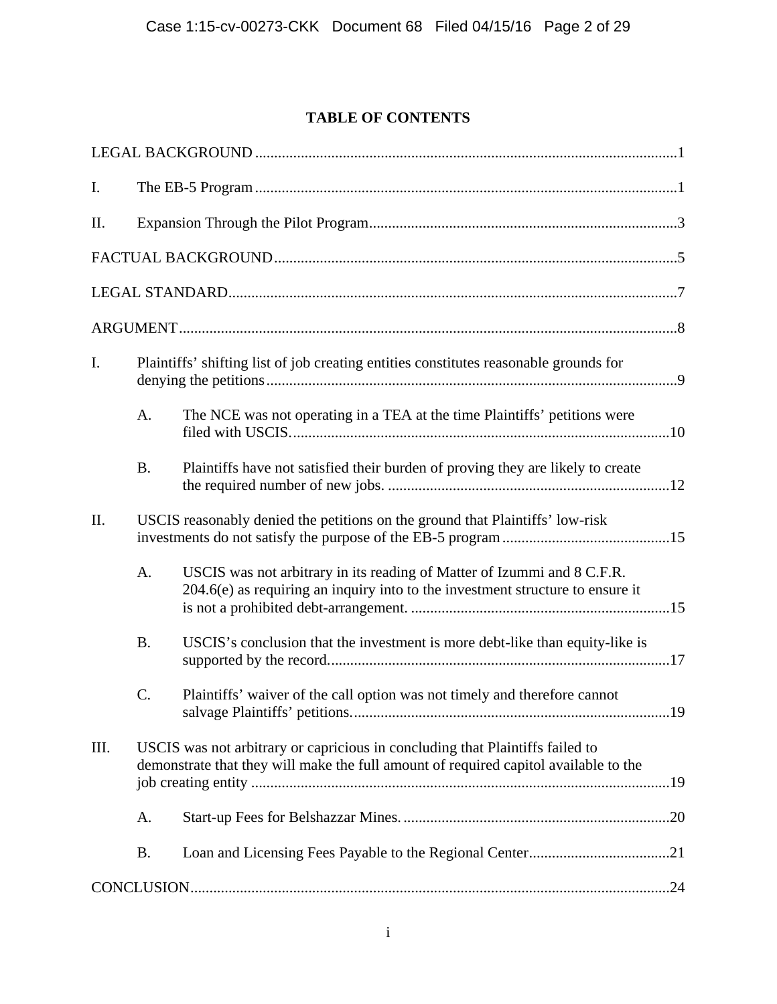# **TABLE OF CONTENTS**

| I.   |           |                                                                                                                                                                       |  |
|------|-----------|-----------------------------------------------------------------------------------------------------------------------------------------------------------------------|--|
| Π.   |           |                                                                                                                                                                       |  |
|      |           |                                                                                                                                                                       |  |
|      |           |                                                                                                                                                                       |  |
|      |           |                                                                                                                                                                       |  |
| I.   |           | Plaintiffs' shifting list of job creating entities constitutes reasonable grounds for                                                                                 |  |
|      | A.        | The NCE was not operating in a TEA at the time Plaintiffs' petitions were                                                                                             |  |
|      | <b>B.</b> | Plaintiffs have not satisfied their burden of proving they are likely to create                                                                                       |  |
| II.  |           | USCIS reasonably denied the petitions on the ground that Plaintiffs' low-risk                                                                                         |  |
|      | A.        | USCIS was not arbitrary in its reading of Matter of Izummi and 8 C.F.R.<br>$204.6(e)$ as requiring an inquiry into to the investment structure to ensure it           |  |
|      | <b>B.</b> | USCIS's conclusion that the investment is more debt-like than equity-like is                                                                                          |  |
|      | C.        | Plaintiffs' waiver of the call option was not timely and therefore cannot                                                                                             |  |
| III. |           | USCIS was not arbitrary or capricious in concluding that Plaintiffs failed to<br>demonstrate that they will make the full amount of required capitol available to the |  |
|      | A.        |                                                                                                                                                                       |  |
|      | <b>B.</b> |                                                                                                                                                                       |  |
|      |           |                                                                                                                                                                       |  |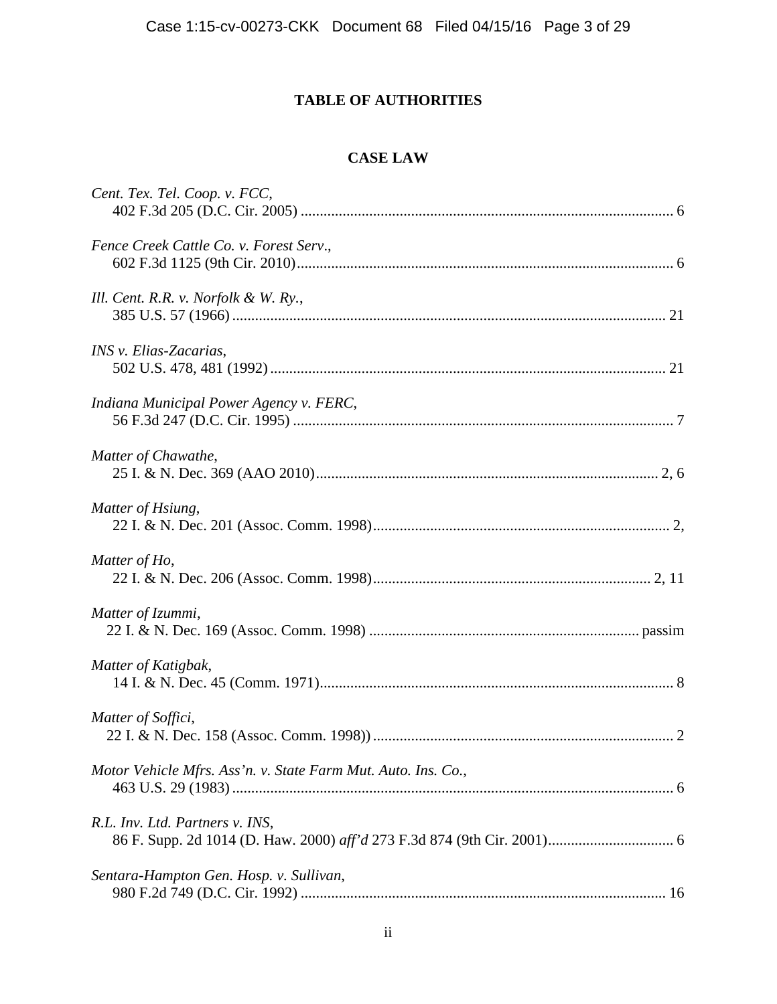# **TABLE OF AUTHORITIES**

# **CASE LAW**

| Cent. Tex. Tel. Coop. v. FCC,                                 |
|---------------------------------------------------------------|
| Fence Creek Cattle Co. v. Forest Serv.,                       |
| Ill. Cent. R.R. v. Norfolk & W. Ry.,                          |
| INS v. Elias-Zacarias,                                        |
| Indiana Municipal Power Agency v. FERC,                       |
| Matter of Chawathe,                                           |
| Matter of Hsiung,                                             |
| Matter of Ho,                                                 |
| Matter of Izummi,                                             |
| Matter of Katigbak,                                           |
| Matter of Soffici,                                            |
| Motor Vehicle Mfrs. Ass'n. v. State Farm Mut. Auto. Ins. Co., |
| R.L. Inv. Ltd. Partners v. INS,                               |
| Sentara-Hampton Gen. Hosp. v. Sullivan,                       |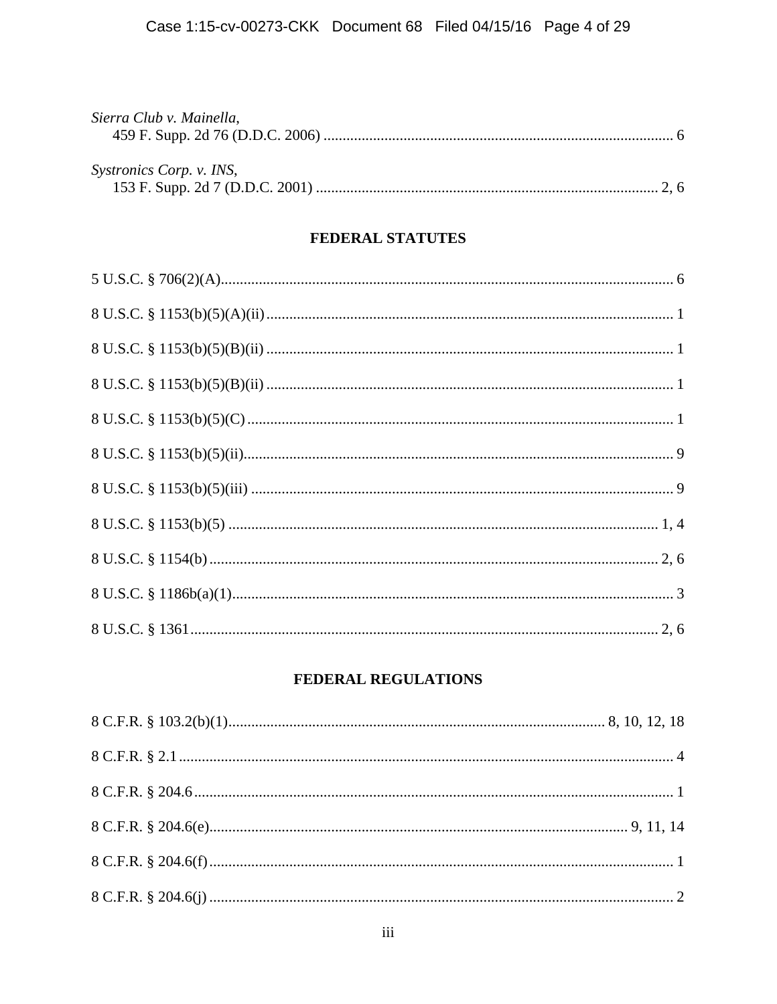| Sierra Club v. Mainella,        |  |
|---------------------------------|--|
|                                 |  |
|                                 |  |
| <i>Systronics Corp. v. INS,</i> |  |
|                                 |  |
|                                 |  |

# **FEDERAL STATUTES**

# FEDERAL REGULATIONS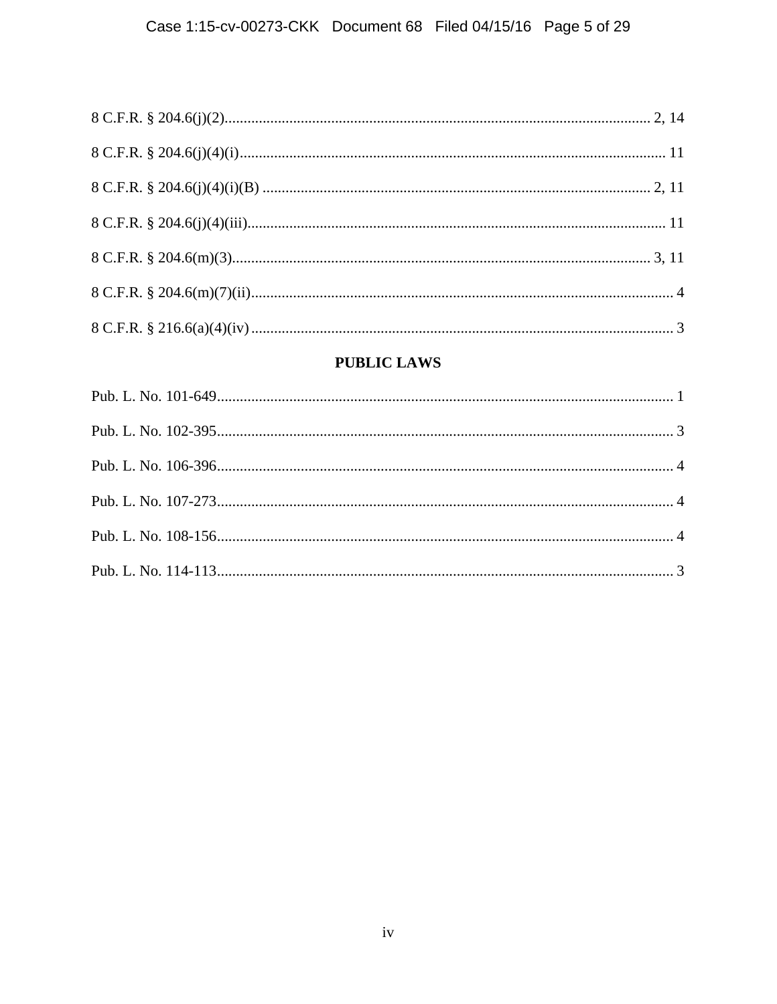# **PUBLIC LAWS**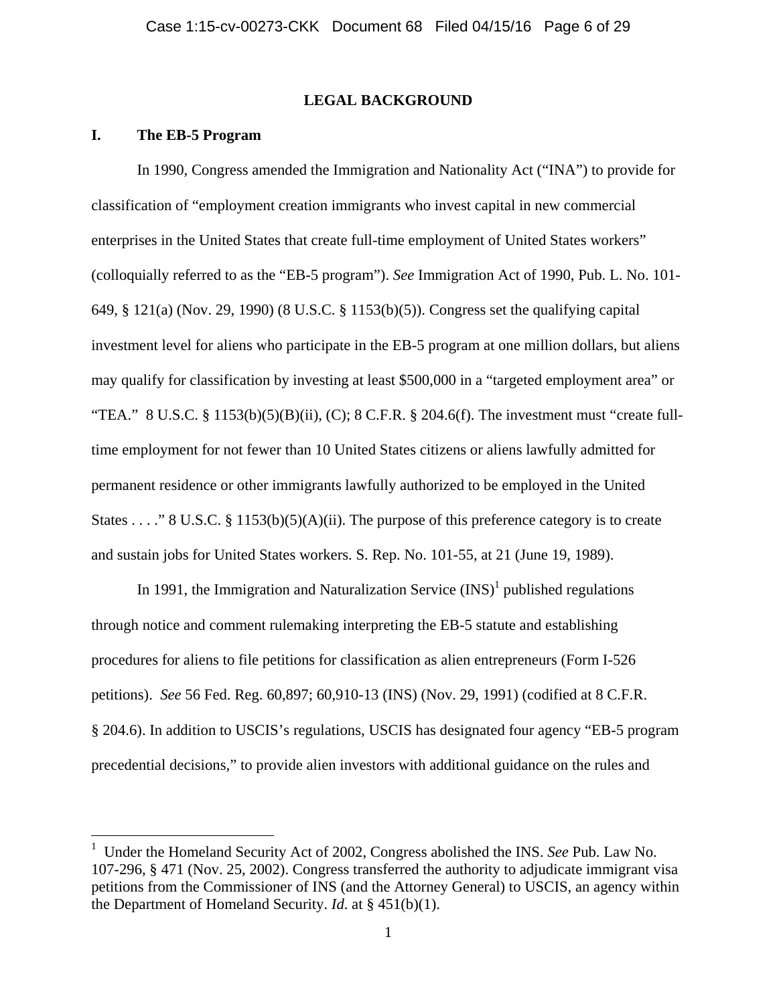### **LEGAL BACKGROUND**

### **I. The EB-5 Program**

1

 In 1990, Congress amended the Immigration and Nationality Act ("INA") to provide for classification of "employment creation immigrants who invest capital in new commercial enterprises in the United States that create full-time employment of United States workers" (colloquially referred to as the "EB-5 program"). *See* Immigration Act of 1990, Pub. L. No. 101- 649, § 121(a) (Nov. 29, 1990) (8 U.S.C. § 1153(b)(5)). Congress set the qualifying capital investment level for aliens who participate in the EB-5 program at one million dollars, but aliens may qualify for classification by investing at least \$500,000 in a "targeted employment area" or "TEA." 8 U.S.C. § 1153(b)(5)(B)(ii), (C); 8 C.F.R. § 204.6(f). The investment must "create fulltime employment for not fewer than 10 United States citizens or aliens lawfully admitted for permanent residence or other immigrants lawfully authorized to be employed in the United States . . . . " 8 U.S.C. § 1153(b)(5)(A)(ii). The purpose of this preference category is to create and sustain jobs for United States workers. S. Rep. No. 101-55, at 21 (June 19, 1989).

In 1991, the Immigration and Naturalization Service  $(INS)^1$  published regulations through notice and comment rulemaking interpreting the EB-5 statute and establishing procedures for aliens to file petitions for classification as alien entrepreneurs (Form I-526 petitions). *See* 56 Fed. Reg. 60,897; 60,910-13 (INS) (Nov. 29, 1991) (codified at 8 C.F.R. § 204.6). In addition to USCIS's regulations, USCIS has designated four agency "EB-5 program precedential decisions," to provide alien investors with additional guidance on the rules and

<sup>&</sup>lt;sup>1</sup> Under the Homeland Security Act of 2002, Congress abolished the INS. *See* Pub. Law No. 107-296, § 471 (Nov. 25, 2002). Congress transferred the authority to adjudicate immigrant visa petitions from the Commissioner of INS (and the Attorney General) to USCIS, an agency within the Department of Homeland Security. *Id*. at § 451(b)(1).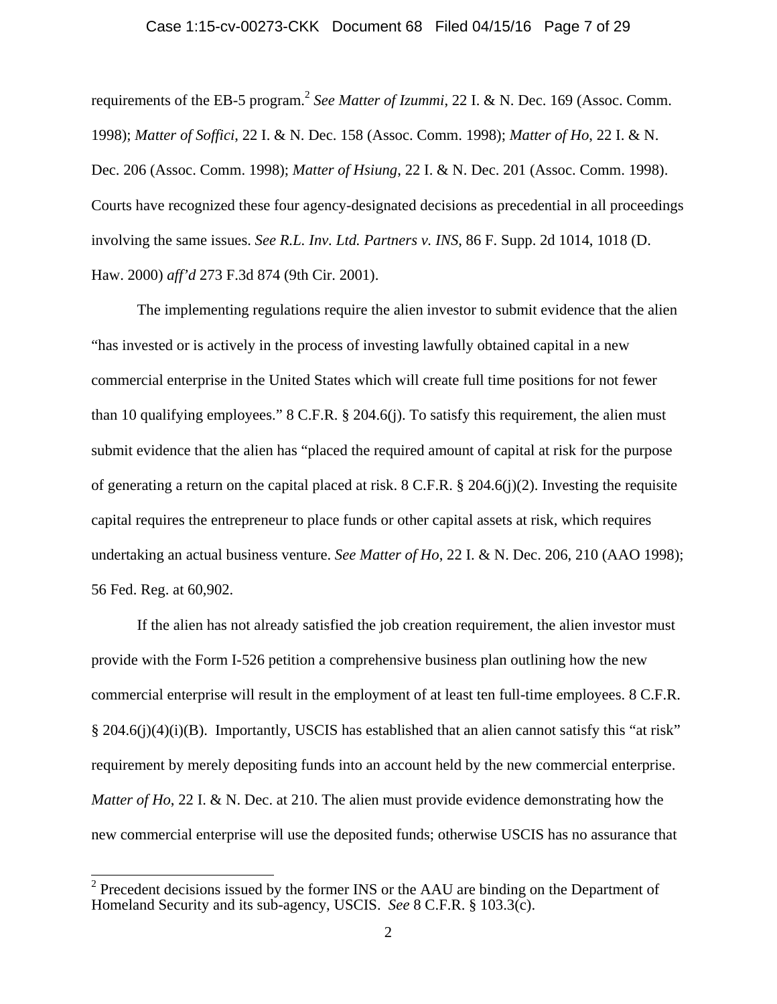#### Case 1:15-cv-00273-CKK Document 68 Filed 04/15/16 Page 7 of 29

requirements of the EB-5 program.<sup>2</sup> *See Matter of Izummi*, 22 I. & N. Dec. 169 (Assoc. Comm. 1998); *Matter of Soffici*, 22 I. & N. Dec. 158 (Assoc. Comm. 1998); *Matter of Ho*, 22 I. & N. Dec. 206 (Assoc. Comm. 1998); *Matter of Hsiung*, 22 I. & N. Dec. 201 (Assoc. Comm. 1998). Courts have recognized these four agency-designated decisions as precedential in all proceedings involving the same issues. *See R.L. Inv. Ltd. Partners v. INS*, 86 F. Supp. 2d 1014, 1018 (D. Haw. 2000) *aff'd* 273 F.3d 874 (9th Cir. 2001).

 The implementing regulations require the alien investor to submit evidence that the alien "has invested or is actively in the process of investing lawfully obtained capital in a new commercial enterprise in the United States which will create full time positions for not fewer than 10 qualifying employees." 8 C.F.R. § 204.6(j). To satisfy this requirement, the alien must submit evidence that the alien has "placed the required amount of capital at risk for the purpose of generating a return on the capital placed at risk.  $8 \text{ C.F.R.} \$   $204.6(j)(2)$ . Investing the requisite capital requires the entrepreneur to place funds or other capital assets at risk, which requires undertaking an actual business venture. *See Matter of Ho*, 22 I. & N. Dec. 206, 210 (AAO 1998); 56 Fed. Reg. at 60,902.

 If the alien has not already satisfied the job creation requirement, the alien investor must provide with the Form I-526 petition a comprehensive business plan outlining how the new commercial enterprise will result in the employment of at least ten full-time employees. 8 C.F.R. § 204.6(j)(4)(i)(B). Importantly, USCIS has established that an alien cannot satisfy this "at risk" requirement by merely depositing funds into an account held by the new commercial enterprise. *Matter of Ho*, 22 I. & N. Dec. at 210. The alien must provide evidence demonstrating how the new commercial enterprise will use the deposited funds; otherwise USCIS has no assurance that

<sup>&</sup>lt;sup>2</sup> Precedent decisions issued by the former INS or the AAU are binding on the Department of Homeland Security and its sub-agency, USCIS. *See* 8 C.F.R. § 103.3(c).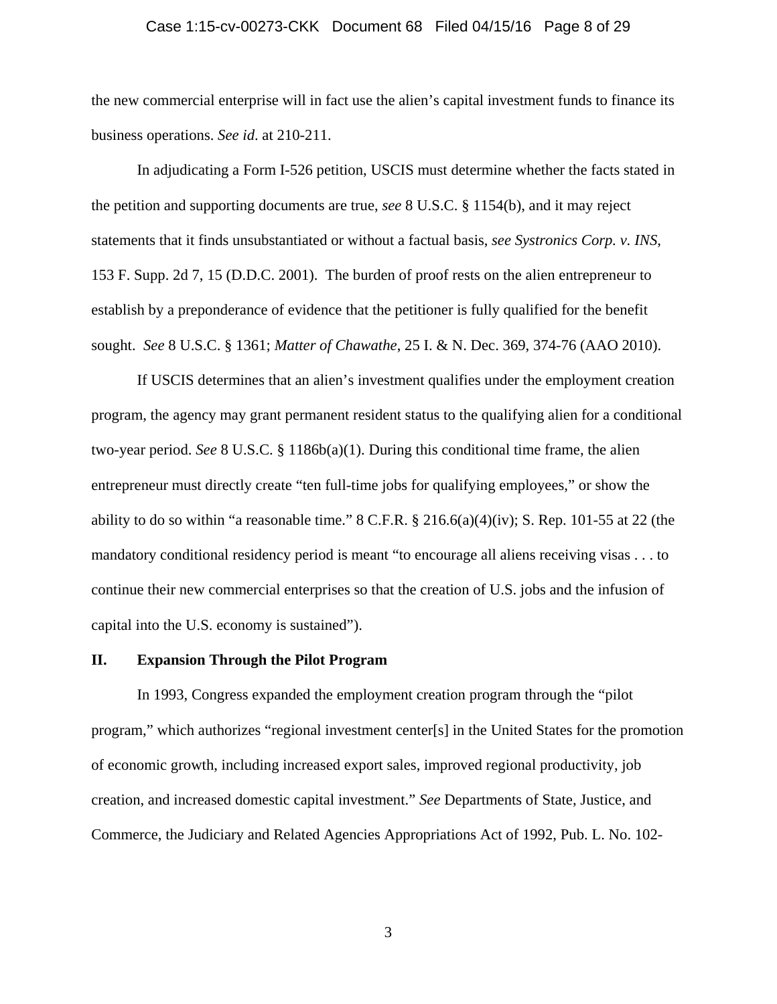#### Case 1:15-cv-00273-CKK Document 68 Filed 04/15/16 Page 8 of 29

the new commercial enterprise will in fact use the alien's capital investment funds to finance its business operations. *See id*. at 210-211.

 In adjudicating a Form I-526 petition, USCIS must determine whether the facts stated in the petition and supporting documents are true, *see* 8 U.S.C. § 1154(b), and it may reject statements that it finds unsubstantiated or without a factual basis, *see Systronics Corp. v. INS*, 153 F. Supp. 2d 7, 15 (D.D.C. 2001). The burden of proof rests on the alien entrepreneur to establish by a preponderance of evidence that the petitioner is fully qualified for the benefit sought. *See* 8 U.S.C. § 1361; *Matter of Chawathe*, 25 I. & N. Dec. 369, 374-76 (AAO 2010).

 If USCIS determines that an alien's investment qualifies under the employment creation program, the agency may grant permanent resident status to the qualifying alien for a conditional two-year period. *See* 8 U.S.C. § 1186b(a)(1). During this conditional time frame, the alien entrepreneur must directly create "ten full-time jobs for qualifying employees," or show the ability to do so within "a reasonable time."  $8 \text{ C.F.R.}$   $\frac{8}{9}$  216.6(a)(4)(iv); S. Rep. 101-55 at 22 (the mandatory conditional residency period is meant "to encourage all aliens receiving visas . . . to continue their new commercial enterprises so that the creation of U.S. jobs and the infusion of capital into the U.S. economy is sustained").

#### **II. Expansion Through the Pilot Program**

 In 1993, Congress expanded the employment creation program through the "pilot program," which authorizes "regional investment center[s] in the United States for the promotion of economic growth, including increased export sales, improved regional productivity, job creation, and increased domestic capital investment." *See* Departments of State, Justice, and Commerce, the Judiciary and Related Agencies Appropriations Act of 1992, Pub. L. No. 102-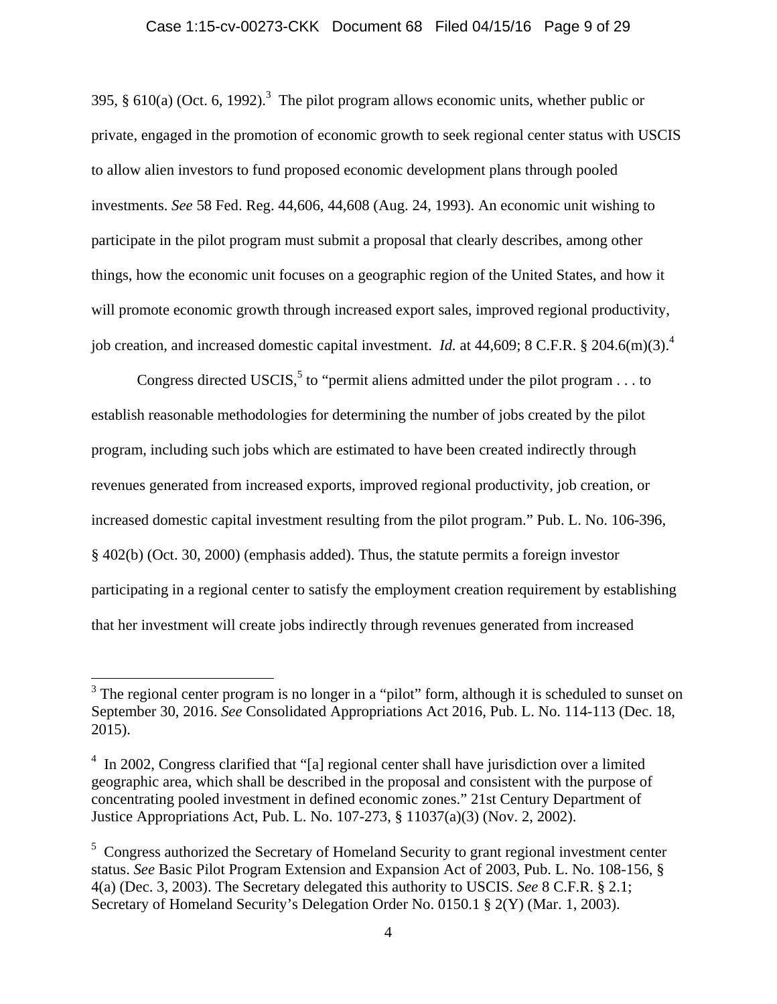#### Case 1:15-cv-00273-CKK Document 68 Filed 04/15/16 Page 9 of 29

395, § 610(a) (Oct. 6, 1992).<sup>3</sup> The pilot program allows economic units, whether public or private, engaged in the promotion of economic growth to seek regional center status with USCIS to allow alien investors to fund proposed economic development plans through pooled investments. *See* 58 Fed. Reg. 44,606, 44,608 (Aug. 24, 1993). An economic unit wishing to participate in the pilot program must submit a proposal that clearly describes, among other things, how the economic unit focuses on a geographic region of the United States, and how it will promote economic growth through increased export sales, improved regional productivity, job creation, and increased domestic capital investment. *Id.* at 44,609; 8 C.F.R. § 204.6(m)(3).4

Congress directed USCIS,<sup>5</sup> to "permit aliens admitted under the pilot program  $\dots$  to establish reasonable methodologies for determining the number of jobs created by the pilot program, including such jobs which are estimated to have been created indirectly through revenues generated from increased exports, improved regional productivity, job creation, or increased domestic capital investment resulting from the pilot program." Pub. L. No. 106-396, § 402(b) (Oct. 30, 2000) (emphasis added). Thus, the statute permits a foreign investor participating in a regional center to satisfy the employment creation requirement by establishing that her investment will create jobs indirectly through revenues generated from increased

 $\overline{a}$ 

 $3$  The regional center program is no longer in a "pilot" form, although it is scheduled to sunset on September 30, 2016. *See* Consolidated Appropriations Act 2016, Pub. L. No. 114-113 (Dec. 18, 2015).

<sup>&</sup>lt;sup>4</sup> In 2002, Congress clarified that "[a] regional center shall have jurisdiction over a limited geographic area, which shall be described in the proposal and consistent with the purpose of concentrating pooled investment in defined economic zones." 21st Century Department of Justice Appropriations Act, Pub. L. No. 107-273, § 11037(a)(3) (Nov. 2, 2002).

<sup>&</sup>lt;sup>5</sup> Congress authorized the Secretary of Homeland Security to grant regional investment center status. *See* Basic Pilot Program Extension and Expansion Act of 2003, Pub. L. No. 108-156, § 4(a) (Dec. 3, 2003). The Secretary delegated this authority to USCIS. *See* 8 C.F.R. § 2.1; Secretary of Homeland Security's Delegation Order No. 0150.1 § 2(Y) (Mar. 1, 2003).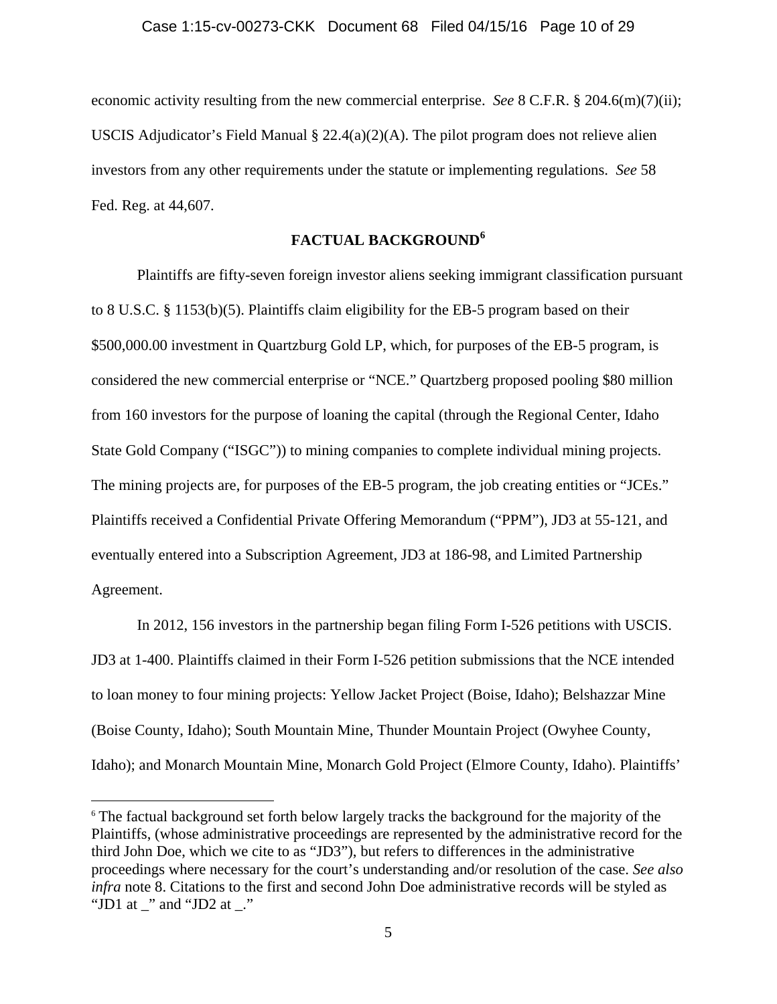economic activity resulting from the new commercial enterprise. *See* 8 C.F.R. § 204.6(m)(7)(ii); USCIS Adjudicator's Field Manual  $\S 22.4(a)(2)(A)$ . The pilot program does not relieve alien investors from any other requirements under the statute or implementing regulations. *See* 58 Fed. Reg. at 44,607.

# **FACTUAL BACKGROUND<sup>6</sup>**

 Plaintiffs are fifty-seven foreign investor aliens seeking immigrant classification pursuant to 8 U.S.C. § 1153(b)(5). Plaintiffs claim eligibility for the EB-5 program based on their \$500,000.00 investment in Quartzburg Gold LP, which, for purposes of the EB-5 program, is considered the new commercial enterprise or "NCE." Quartzberg proposed pooling \$80 million from 160 investors for the purpose of loaning the capital (through the Regional Center, Idaho State Gold Company ("ISGC")) to mining companies to complete individual mining projects. The mining projects are, for purposes of the EB-5 program, the job creating entities or "JCEs." Plaintiffs received a Confidential Private Offering Memorandum ("PPM"), JD3 at 55-121, and eventually entered into a Subscription Agreement, JD3 at 186-98, and Limited Partnership Agreement.

 In 2012, 156 investors in the partnership began filing Form I-526 petitions with USCIS. JD3 at 1-400. Plaintiffs claimed in their Form I-526 petition submissions that the NCE intended to loan money to four mining projects: Yellow Jacket Project (Boise, Idaho); Belshazzar Mine (Boise County, Idaho); South Mountain Mine, Thunder Mountain Project (Owyhee County, Idaho); and Monarch Mountain Mine, Monarch Gold Project (Elmore County, Idaho). Plaintiffs'

 $\overline{a}$ 

<sup>&</sup>lt;sup>6</sup> The factual background set forth below largely tracks the background for the majority of the Plaintiffs, (whose administrative proceedings are represented by the administrative record for the third John Doe, which we cite to as "JD3"), but refers to differences in the administrative proceedings where necessary for the court's understanding and/or resolution of the case. *See also infra* note 8. Citations to the first and second John Doe administrative records will be styled as "JD1 at  $\therefore$ " and "JD2 at  $\therefore$ "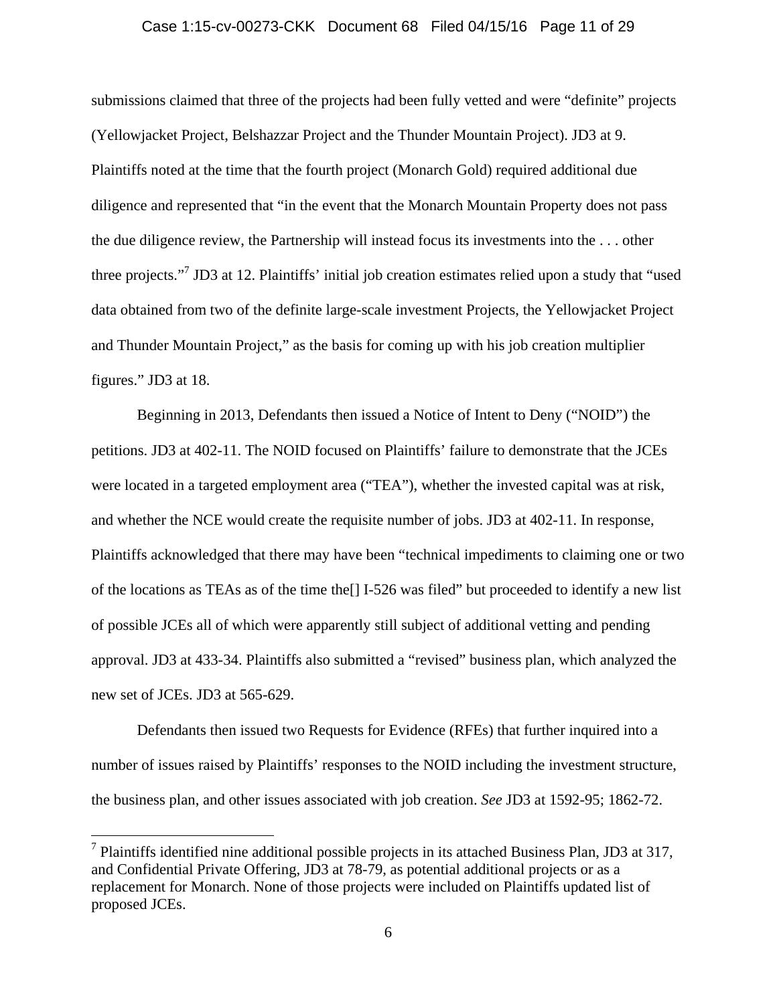#### Case 1:15-cv-00273-CKK Document 68 Filed 04/15/16 Page 11 of 29

submissions claimed that three of the projects had been fully vetted and were "definite" projects (Yellowjacket Project, Belshazzar Project and the Thunder Mountain Project). JD3 at 9. Plaintiffs noted at the time that the fourth project (Monarch Gold) required additional due diligence and represented that "in the event that the Monarch Mountain Property does not pass the due diligence review, the Partnership will instead focus its investments into the . . . other three projects."<sup>7</sup> JD3 at 12. Plaintiffs' initial job creation estimates relied upon a study that "used data obtained from two of the definite large-scale investment Projects, the Yellowjacket Project and Thunder Mountain Project," as the basis for coming up with his job creation multiplier figures." JD3 at 18.

 Beginning in 2013, Defendants then issued a Notice of Intent to Deny ("NOID") the petitions. JD3 at 402-11. The NOID focused on Plaintiffs' failure to demonstrate that the JCEs were located in a targeted employment area ("TEA"), whether the invested capital was at risk, and whether the NCE would create the requisite number of jobs. JD3 at 402-11. In response, Plaintiffs acknowledged that there may have been "technical impediments to claiming one or two of the locations as TEAs as of the time the[] I-526 was filed" but proceeded to identify a new list of possible JCEs all of which were apparently still subject of additional vetting and pending approval. JD3 at 433-34. Plaintiffs also submitted a "revised" business plan, which analyzed the new set of JCEs. JD3 at 565-629.

 Defendants then issued two Requests for Evidence (RFEs) that further inquired into a number of issues raised by Plaintiffs' responses to the NOID including the investment structure, the business plan, and other issues associated with job creation. *See* JD3 at 1592-95; 1862-72.

 $<sup>7</sup>$  Plaintiffs identified nine additional possible projects in its attached Business Plan, JD3 at 317,</sup> and Confidential Private Offering, JD3 at 78-79, as potential additional projects or as a replacement for Monarch. None of those projects were included on Plaintiffs updated list of proposed JCEs.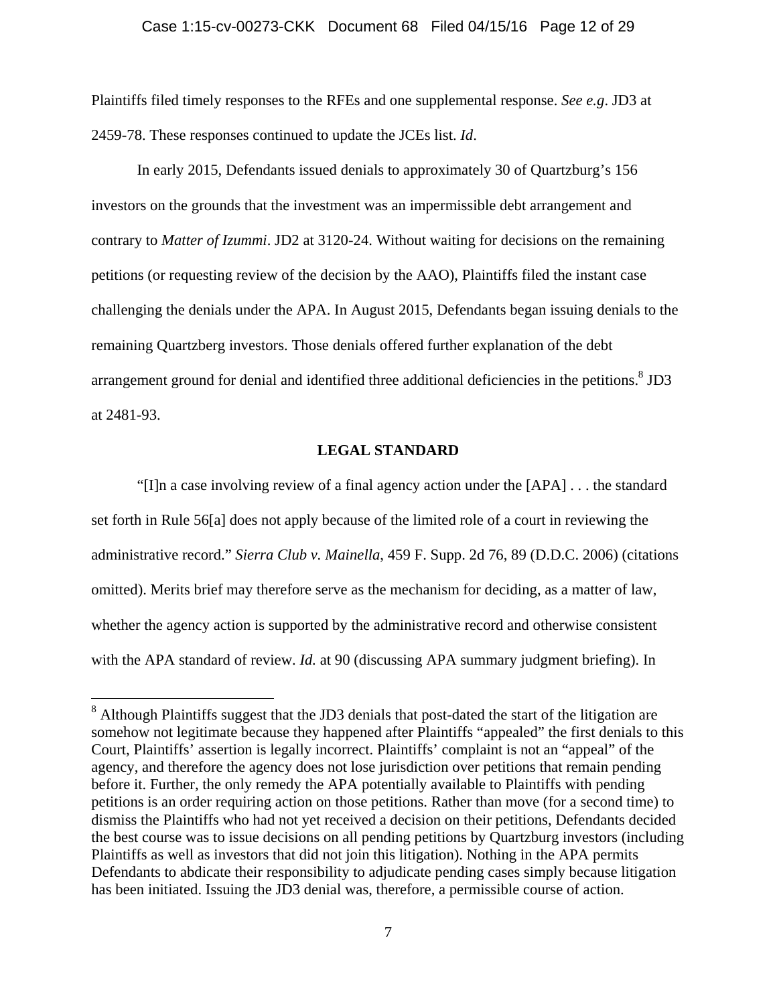#### Case 1:15-cv-00273-CKK Document 68 Filed 04/15/16 Page 12 of 29

Plaintiffs filed timely responses to the RFEs and one supplemental response. *See e.g*. JD3 at 2459-78. These responses continued to update the JCEs list. *Id*.

 In early 2015, Defendants issued denials to approximately 30 of Quartzburg's 156 investors on the grounds that the investment was an impermissible debt arrangement and contrary to *Matter of Izummi*. JD2 at 3120-24. Without waiting for decisions on the remaining petitions (or requesting review of the decision by the AAO), Plaintiffs filed the instant case challenging the denials under the APA. In August 2015, Defendants began issuing denials to the remaining Quartzberg investors. Those denials offered further explanation of the debt arrangement ground for denial and identified three additional deficiencies in the petitions.<sup>8</sup> JD3 at 2481-93.

#### **LEGAL STANDARD**

 "[I]n a case involving review of a final agency action under the [APA] . . . the standard set forth in Rule 56[a] does not apply because of the limited role of a court in reviewing the administrative record." *Sierra Club v. Mainella*, 459 F. Supp. 2d 76, 89 (D.D.C. 2006) (citations omitted). Merits brief may therefore serve as the mechanism for deciding, as a matter of law, whether the agency action is supported by the administrative record and otherwise consistent with the APA standard of review. *Id.* at 90 (discussing APA summary judgment briefing). In

 $8$  Although Plaintiffs suggest that the JD3 denials that post-dated the start of the litigation are somehow not legitimate because they happened after Plaintiffs "appealed" the first denials to this Court, Plaintiffs' assertion is legally incorrect. Plaintiffs' complaint is not an "appeal" of the agency, and therefore the agency does not lose jurisdiction over petitions that remain pending before it. Further, the only remedy the APA potentially available to Plaintiffs with pending petitions is an order requiring action on those petitions. Rather than move (for a second time) to dismiss the Plaintiffs who had not yet received a decision on their petitions, Defendants decided the best course was to issue decisions on all pending petitions by Quartzburg investors (including Plaintiffs as well as investors that did not join this litigation). Nothing in the APA permits Defendants to abdicate their responsibility to adjudicate pending cases simply because litigation has been initiated. Issuing the JD3 denial was, therefore, a permissible course of action.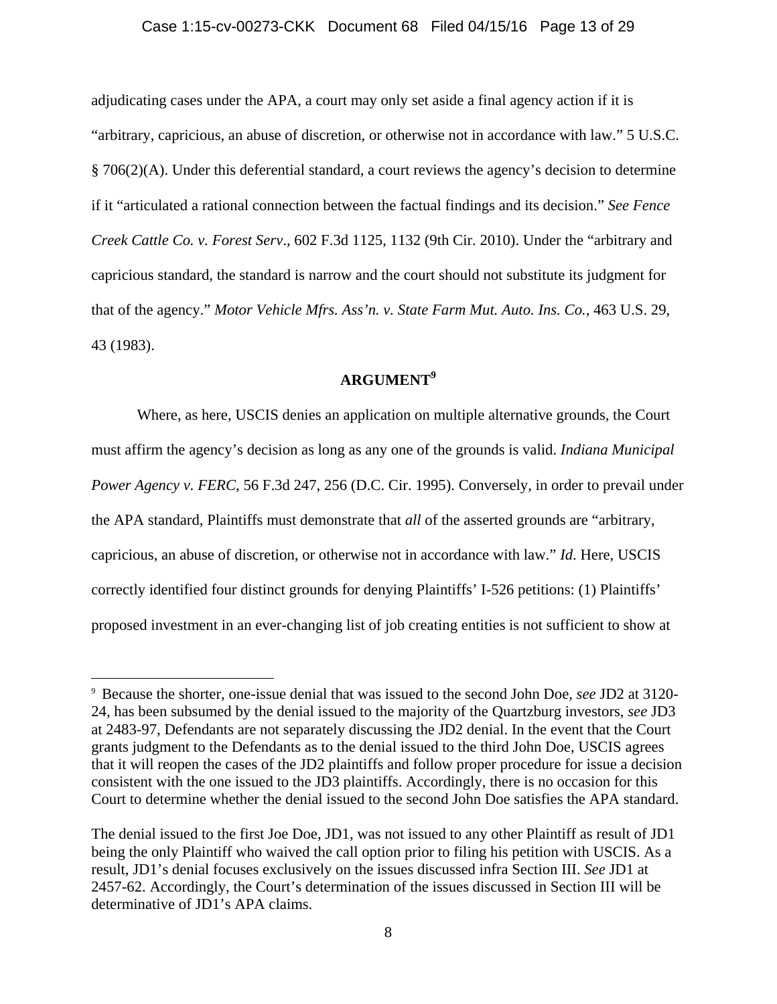adjudicating cases under the APA, a court may only set aside a final agency action if it is "arbitrary, capricious, an abuse of discretion, or otherwise not in accordance with law." 5 U.S.C. § 706(2)(A). Under this deferential standard, a court reviews the agency's decision to determine if it "articulated a rational connection between the factual findings and its decision." *See Fence Creek Cattle Co. v. Forest Serv*., 602 F.3d 1125, 1132 (9th Cir. 2010). Under the "arbitrary and capricious standard, the standard is narrow and the court should not substitute its judgment for that of the agency." *Motor Vehicle Mfrs. Ass'n. v. State Farm Mut. Auto. Ins. Co.*, 463 U.S. 29, 43 (1983).

# **ARGUMENT<sup>9</sup>**

 Where, as here, USCIS denies an application on multiple alternative grounds, the Court must affirm the agency's decision as long as any one of the grounds is valid. *Indiana Municipal Power Agency v. FERC*, 56 F.3d 247, 256 (D.C. Cir. 1995). Conversely, in order to prevail under the APA standard, Plaintiffs must demonstrate that *all* of the asserted grounds are "arbitrary, capricious, an abuse of discretion, or otherwise not in accordance with law." *Id*. Here, USCIS correctly identified four distinct grounds for denying Plaintiffs' I-526 petitions: (1) Plaintiffs' proposed investment in an ever-changing list of job creating entities is not sufficient to show at

 $\overline{a}$ 

<sup>9</sup> Because the shorter, one-issue denial that was issued to the second John Doe, *see* JD2 at 3120- 24, has been subsumed by the denial issued to the majority of the Quartzburg investors, *see* JD3 at 2483-97, Defendants are not separately discussing the JD2 denial. In the event that the Court grants judgment to the Defendants as to the denial issued to the third John Doe, USCIS agrees that it will reopen the cases of the JD2 plaintiffs and follow proper procedure for issue a decision consistent with the one issued to the JD3 plaintiffs. Accordingly, there is no occasion for this Court to determine whether the denial issued to the second John Doe satisfies the APA standard.

The denial issued to the first Joe Doe, JD1, was not issued to any other Plaintiff as result of JD1 being the only Plaintiff who waived the call option prior to filing his petition with USCIS. As a result, JD1's denial focuses exclusively on the issues discussed infra Section III. *See* JD1 at 2457-62. Accordingly, the Court's determination of the issues discussed in Section III will be determinative of JD1's APA claims.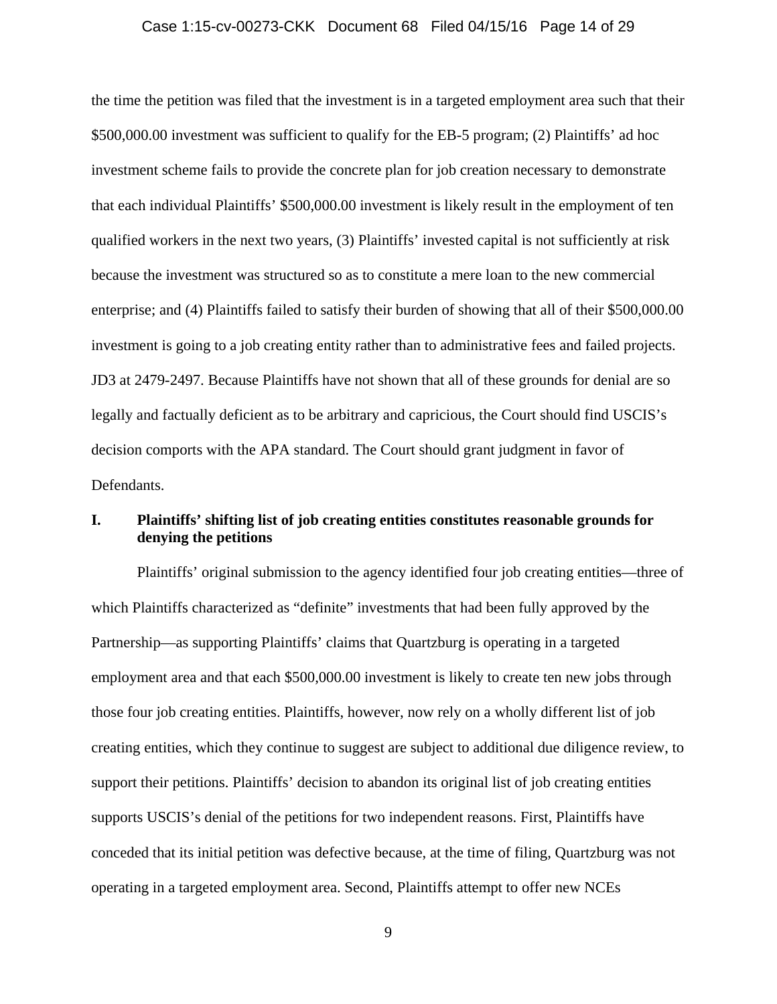#### Case 1:15-cv-00273-CKK Document 68 Filed 04/15/16 Page 14 of 29

the time the petition was filed that the investment is in a targeted employment area such that their \$500,000.00 investment was sufficient to qualify for the EB-5 program; (2) Plaintiffs' ad hoc investment scheme fails to provide the concrete plan for job creation necessary to demonstrate that each individual Plaintiffs' \$500,000.00 investment is likely result in the employment of ten qualified workers in the next two years, (3) Plaintiffs' invested capital is not sufficiently at risk because the investment was structured so as to constitute a mere loan to the new commercial enterprise; and (4) Plaintiffs failed to satisfy their burden of showing that all of their \$500,000.00 investment is going to a job creating entity rather than to administrative fees and failed projects. JD3 at 2479-2497. Because Plaintiffs have not shown that all of these grounds for denial are so legally and factually deficient as to be arbitrary and capricious, the Court should find USCIS's decision comports with the APA standard. The Court should grant judgment in favor of Defendants.

### **I. Plaintiffs' shifting list of job creating entities constitutes reasonable grounds for denying the petitions**

 Plaintiffs' original submission to the agency identified four job creating entities—three of which Plaintiffs characterized as "definite" investments that had been fully approved by the Partnership—as supporting Plaintiffs' claims that Quartzburg is operating in a targeted employment area and that each \$500,000.00 investment is likely to create ten new jobs through those four job creating entities. Plaintiffs, however, now rely on a wholly different list of job creating entities, which they continue to suggest are subject to additional due diligence review, to support their petitions. Plaintiffs' decision to abandon its original list of job creating entities supports USCIS's denial of the petitions for two independent reasons. First, Plaintiffs have conceded that its initial petition was defective because, at the time of filing, Quartzburg was not operating in a targeted employment area. Second, Plaintiffs attempt to offer new NCEs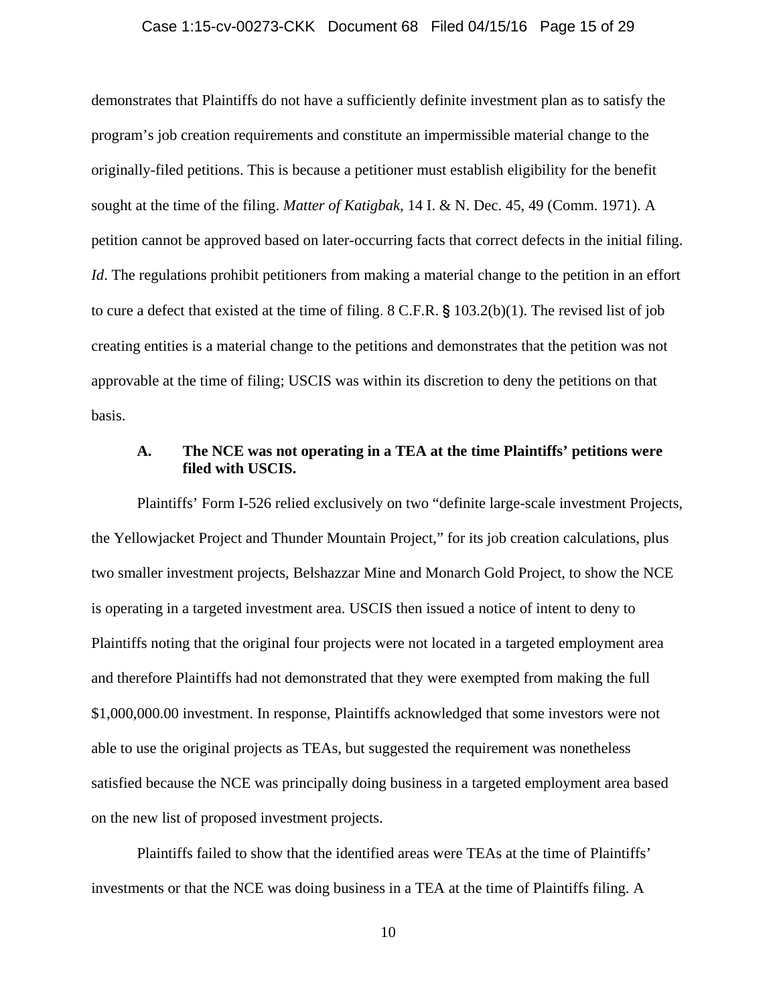#### Case 1:15-cv-00273-CKK Document 68 Filed 04/15/16 Page 15 of 29

demonstrates that Plaintiffs do not have a sufficiently definite investment plan as to satisfy the program's job creation requirements and constitute an impermissible material change to the originally-filed petitions. This is because a petitioner must establish eligibility for the benefit sought at the time of the filing. *Matter of Katigbak*, 14 I. & N. Dec. 45, 49 (Comm. 1971). A petition cannot be approved based on later-occurring facts that correct defects in the initial filing. *Id*. The regulations prohibit petitioners from making a material change to the petition in an effort to cure a defect that existed at the time of filing. 8 C.F.R. § 103.2(b)(1). The revised list of job creating entities is a material change to the petitions and demonstrates that the petition was not approvable at the time of filing; USCIS was within its discretion to deny the petitions on that basis.

### **A. The NCE was not operating in a TEA at the time Plaintiffs' petitions were filed with USCIS.**

 Plaintiffs' Form I-526 relied exclusively on two "definite large-scale investment Projects, the Yellowjacket Project and Thunder Mountain Project," for its job creation calculations, plus two smaller investment projects, Belshazzar Mine and Monarch Gold Project, to show the NCE is operating in a targeted investment area. USCIS then issued a notice of intent to deny to Plaintiffs noting that the original four projects were not located in a targeted employment area and therefore Plaintiffs had not demonstrated that they were exempted from making the full \$1,000,000.00 investment. In response, Plaintiffs acknowledged that some investors were not able to use the original projects as TEAs, but suggested the requirement was nonetheless satisfied because the NCE was principally doing business in a targeted employment area based on the new list of proposed investment projects.

 Plaintiffs failed to show that the identified areas were TEAs at the time of Plaintiffs' investments or that the NCE was doing business in a TEA at the time of Plaintiffs filing. A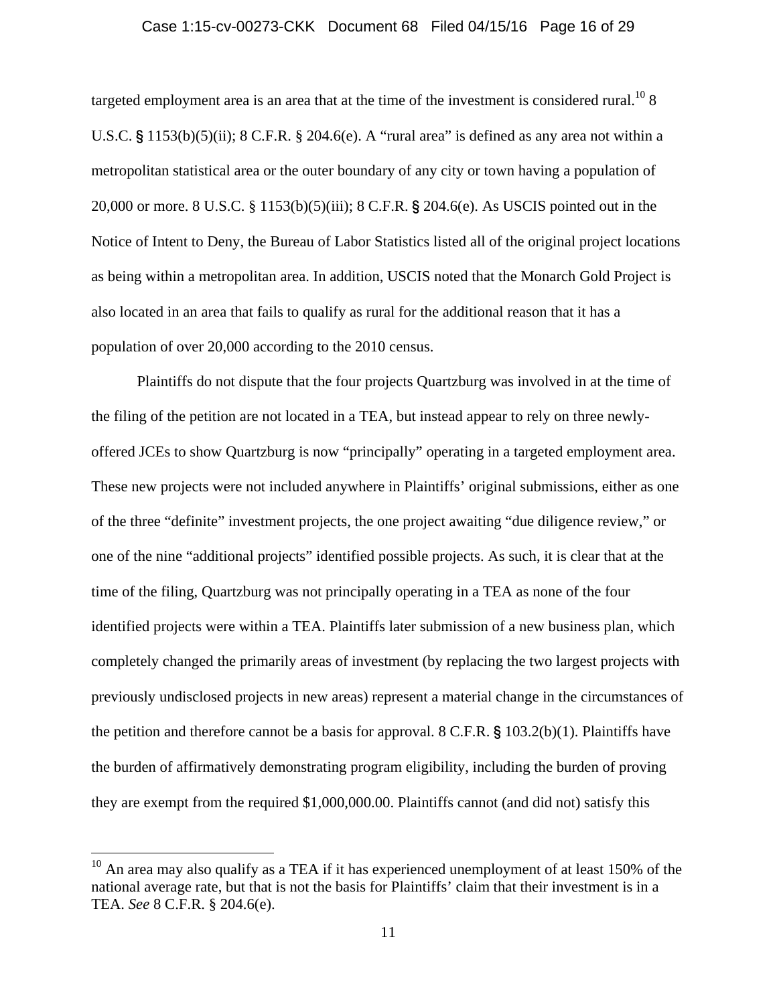#### Case 1:15-cv-00273-CKK Document 68 Filed 04/15/16 Page 16 of 29

targeted employment area is an area that at the time of the investment is considered rural.<sup>10</sup> 8 U.S.C. § 1153(b)(5)(ii);  $8 \text{ C.F.R.}$  § 204.6(e). A "rural area" is defined as any area not within a metropolitan statistical area or the outer boundary of any city or town having a population of 20,000 or more. 8 U.S.C. § 1153(b)(5)(iii); 8 C.F.R. § 204.6(e). As USCIS pointed out in the Notice of Intent to Deny, the Bureau of Labor Statistics listed all of the original project locations as being within a metropolitan area. In addition, USCIS noted that the Monarch Gold Project is also located in an area that fails to qualify as rural for the additional reason that it has a population of over 20,000 according to the 2010 census.

 Plaintiffs do not dispute that the four projects Quartzburg was involved in at the time of the filing of the petition are not located in a TEA, but instead appear to rely on three newlyoffered JCEs to show Quartzburg is now "principally" operating in a targeted employment area. These new projects were not included anywhere in Plaintiffs' original submissions, either as one of the three "definite" investment projects, the one project awaiting "due diligence review," or one of the nine "additional projects" identified possible projects. As such, it is clear that at the time of the filing, Quartzburg was not principally operating in a TEA as none of the four identified projects were within a TEA. Plaintiffs later submission of a new business plan, which completely changed the primarily areas of investment (by replacing the two largest projects with previously undisclosed projects in new areas) represent a material change in the circumstances of the petition and therefore cannot be a basis for approval. 8 C.F.R. § 103.2(b)(1). Plaintiffs have the burden of affirmatively demonstrating program eligibility, including the burden of proving they are exempt from the required \$1,000,000.00. Plaintiffs cannot (and did not) satisfy this

 $10$  An area may also qualify as a TEA if it has experienced unemployment of at least 150% of the national average rate, but that is not the basis for Plaintiffs' claim that their investment is in a TEA. *See* 8 C.F.R. § 204.6(e).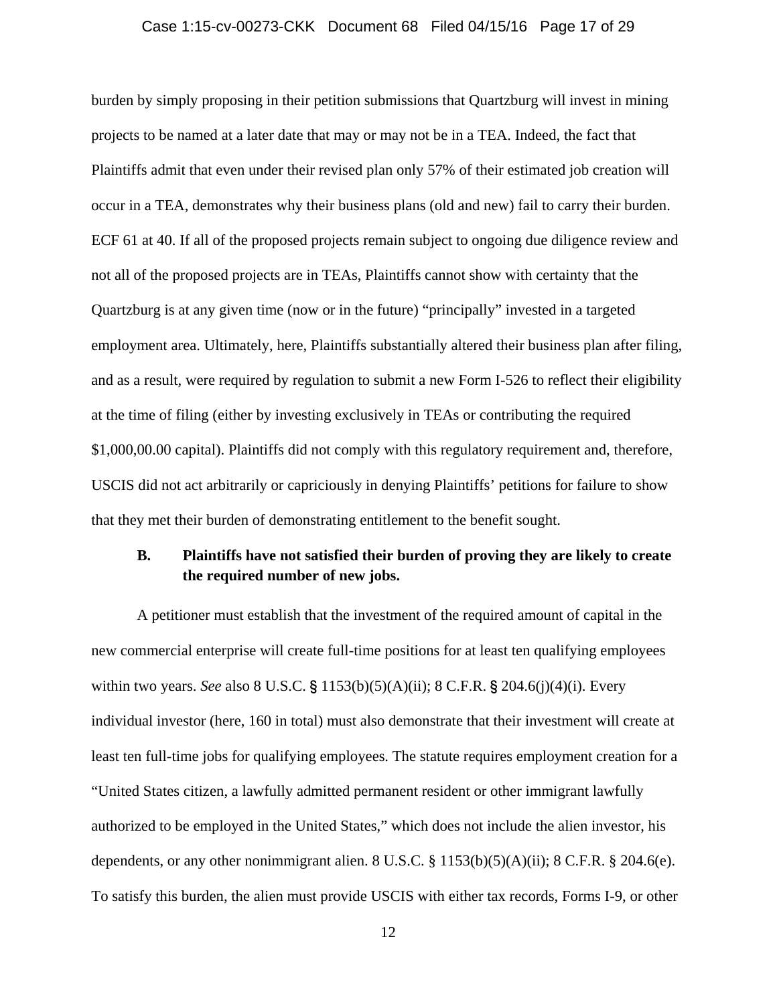#### Case 1:15-cv-00273-CKK Document 68 Filed 04/15/16 Page 17 of 29

burden by simply proposing in their petition submissions that Quartzburg will invest in mining projects to be named at a later date that may or may not be in a TEA. Indeed, the fact that Plaintiffs admit that even under their revised plan only 57% of their estimated job creation will occur in a TEA, demonstrates why their business plans (old and new) fail to carry their burden. ECF 61 at 40. If all of the proposed projects remain subject to ongoing due diligence review and not all of the proposed projects are in TEAs, Plaintiffs cannot show with certainty that the Quartzburg is at any given time (now or in the future) "principally" invested in a targeted employment area. Ultimately, here, Plaintiffs substantially altered their business plan after filing, and as a result, were required by regulation to submit a new Form I-526 to reflect their eligibility at the time of filing (either by investing exclusively in TEAs or contributing the required \$1,000,00.00 capital). Plaintiffs did not comply with this regulatory requirement and, therefore, USCIS did not act arbitrarily or capriciously in denying Plaintiffs' petitions for failure to show that they met their burden of demonstrating entitlement to the benefit sought.

## **B. Plaintiffs have not satisfied their burden of proving they are likely to create the required number of new jobs.**

 A petitioner must establish that the investment of the required amount of capital in the new commercial enterprise will create full-time positions for at least ten qualifying employees within two years. *See* also 8 U.S.C. § 1153(b)(5)(A)(ii); 8 C.F.R. § 204.6(j)(4)(i). Every individual investor (here, 160 in total) must also demonstrate that their investment will create at least ten full-time jobs for qualifying employees. The statute requires employment creation for a "United States citizen, a lawfully admitted permanent resident or other immigrant lawfully authorized to be employed in the United States," which does not include the alien investor, his dependents, or any other nonimmigrant alien. 8 U.S.C. § 1153(b)(5)(A)(ii); 8 C.F.R. § 204.6(e). To satisfy this burden, the alien must provide USCIS with either tax records, Forms I-9, or other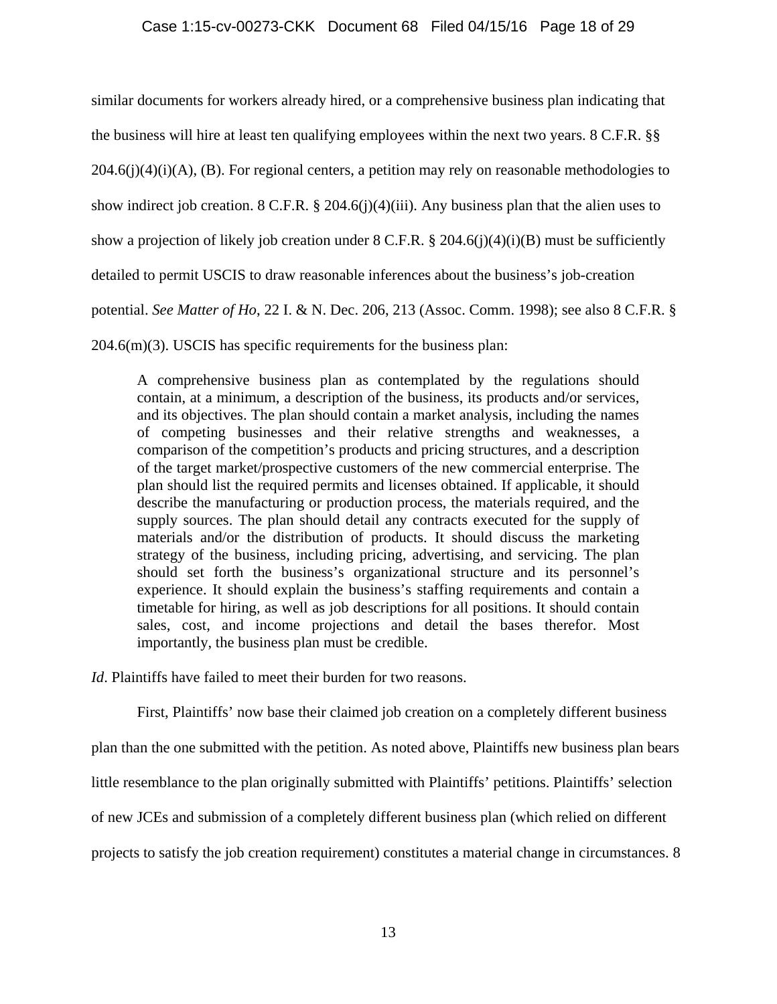similar documents for workers already hired, or a comprehensive business plan indicating that the business will hire at least ten qualifying employees within the next two years. 8 C.F.R. §§  $204.6(i)(4)(i)(A)$ , (B). For regional centers, a petition may rely on reasonable methodologies to show indirect job creation. 8 C.F.R. § 204.6(j)(4)(iii). Any business plan that the alien uses to show a projection of likely job creation under 8 C.F.R. § 204.6(j)(4)(i)(B) must be sufficiently detailed to permit USCIS to draw reasonable inferences about the business's job-creation potential. *See Matter of Ho*, 22 I. & N. Dec. 206, 213 (Assoc. Comm. 1998); see also 8 C.F.R. § 204.6(m)(3). USCIS has specific requirements for the business plan:

A comprehensive business plan as contemplated by the regulations should contain, at a minimum, a description of the business, its products and/or services, and its objectives. The plan should contain a market analysis, including the names of competing businesses and their relative strengths and weaknesses, a comparison of the competition's products and pricing structures, and a description of the target market/prospective customers of the new commercial enterprise. The plan should list the required permits and licenses obtained. If applicable, it should describe the manufacturing or production process, the materials required, and the supply sources. The plan should detail any contracts executed for the supply of materials and/or the distribution of products. It should discuss the marketing strategy of the business, including pricing, advertising, and servicing. The plan should set forth the business's organizational structure and its personnel's experience. It should explain the business's staffing requirements and contain a timetable for hiring, as well as job descriptions for all positions. It should contain sales, cost, and income projections and detail the bases therefor. Most importantly, the business plan must be credible.

*Id*. Plaintiffs have failed to meet their burden for two reasons.

 First, Plaintiffs' now base their claimed job creation on a completely different business plan than the one submitted with the petition. As noted above, Plaintiffs new business plan bears little resemblance to the plan originally submitted with Plaintiffs' petitions. Plaintiffs' selection of new JCEs and submission of a completely different business plan (which relied on different projects to satisfy the job creation requirement) constitutes a material change in circumstances. 8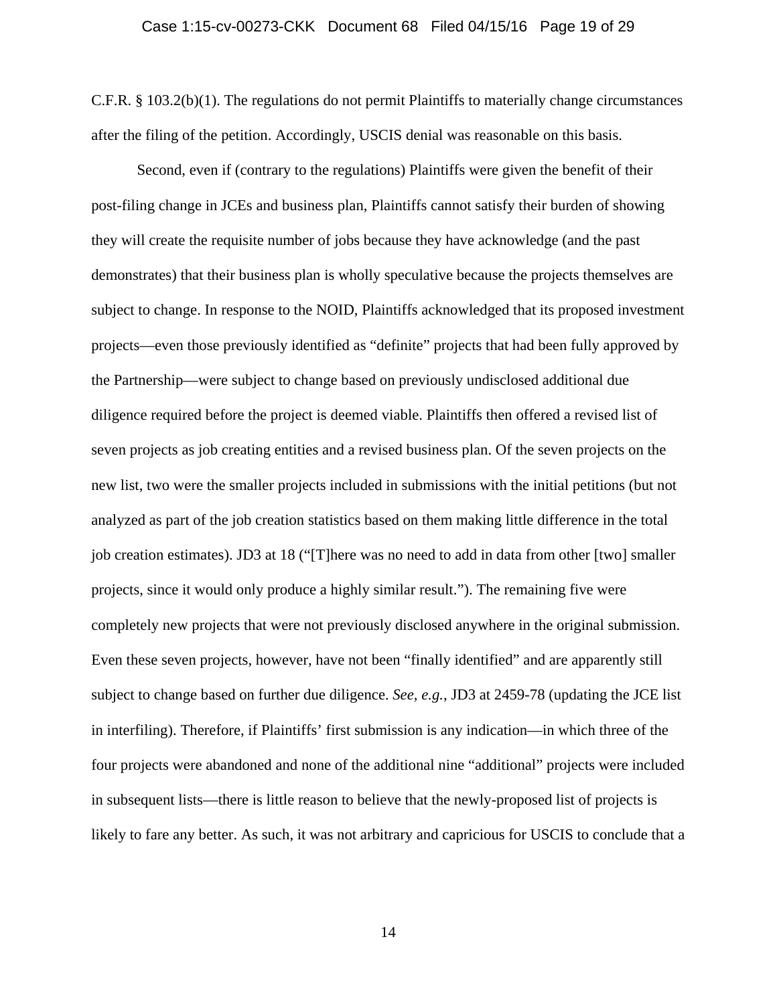C.F.R. § 103.2(b)(1). The regulations do not permit Plaintiffs to materially change circumstances after the filing of the petition. Accordingly, USCIS denial was reasonable on this basis.

 Second, even if (contrary to the regulations) Plaintiffs were given the benefit of their post-filing change in JCEs and business plan, Plaintiffs cannot satisfy their burden of showing they will create the requisite number of jobs because they have acknowledge (and the past demonstrates) that their business plan is wholly speculative because the projects themselves are subject to change. In response to the NOID, Plaintiffs acknowledged that its proposed investment projects—even those previously identified as "definite" projects that had been fully approved by the Partnership—were subject to change based on previously undisclosed additional due diligence required before the project is deemed viable. Plaintiffs then offered a revised list of seven projects as job creating entities and a revised business plan. Of the seven projects on the new list, two were the smaller projects included in submissions with the initial petitions (but not analyzed as part of the job creation statistics based on them making little difference in the total job creation estimates). JD3 at 18 ("[T]here was no need to add in data from other [two] smaller projects, since it would only produce a highly similar result."). The remaining five were completely new projects that were not previously disclosed anywhere in the original submission. Even these seven projects, however, have not been "finally identified" and are apparently still subject to change based on further due diligence. *See, e.g.*, JD3 at 2459-78 (updating the JCE list in interfiling). Therefore, if Plaintiffs' first submission is any indication—in which three of the four projects were abandoned and none of the additional nine "additional" projects were included in subsequent lists—there is little reason to believe that the newly-proposed list of projects is likely to fare any better. As such, it was not arbitrary and capricious for USCIS to conclude that a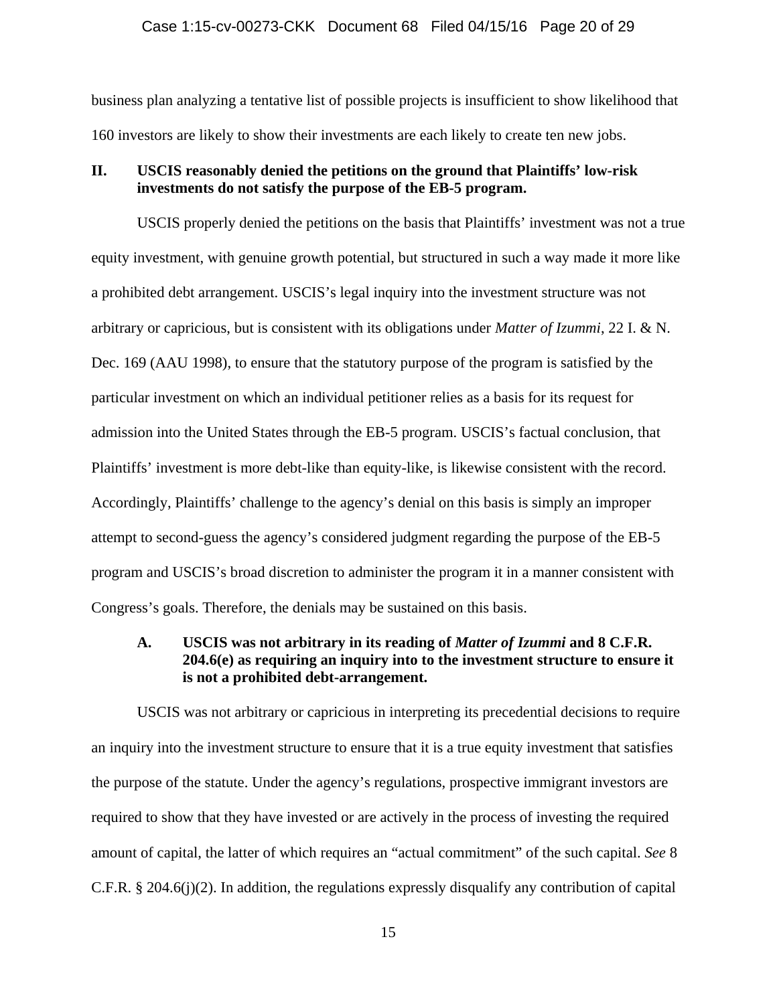#### Case 1:15-cv-00273-CKK Document 68 Filed 04/15/16 Page 20 of 29

business plan analyzing a tentative list of possible projects is insufficient to show likelihood that 160 investors are likely to show their investments are each likely to create ten new jobs.

### **II. USCIS reasonably denied the petitions on the ground that Plaintiffs' low-risk investments do not satisfy the purpose of the EB-5 program.**

 USCIS properly denied the petitions on the basis that Plaintiffs' investment was not a true equity investment, with genuine growth potential, but structured in such a way made it more like a prohibited debt arrangement. USCIS's legal inquiry into the investment structure was not arbitrary or capricious, but is consistent with its obligations under *Matter of Izummi*, 22 I. & N. Dec. 169 (AAU 1998), to ensure that the statutory purpose of the program is satisfied by the particular investment on which an individual petitioner relies as a basis for its request for admission into the United States through the EB-5 program. USCIS's factual conclusion, that Plaintiffs' investment is more debt-like than equity-like, is likewise consistent with the record. Accordingly, Plaintiffs' challenge to the agency's denial on this basis is simply an improper attempt to second-guess the agency's considered judgment regarding the purpose of the EB-5 program and USCIS's broad discretion to administer the program it in a manner consistent with Congress's goals. Therefore, the denials may be sustained on this basis.

### **A. USCIS was not arbitrary in its reading of** *Matter of Izummi* **and 8 C.F.R. 204.6(e) as requiring an inquiry into to the investment structure to ensure it is not a prohibited debt-arrangement.**

 USCIS was not arbitrary or capricious in interpreting its precedential decisions to require an inquiry into the investment structure to ensure that it is a true equity investment that satisfies the purpose of the statute. Under the agency's regulations, prospective immigrant investors are required to show that they have invested or are actively in the process of investing the required amount of capital, the latter of which requires an "actual commitment" of the such capital. *See* 8 C.F.R. § 204.6(j)(2). In addition, the regulations expressly disqualify any contribution of capital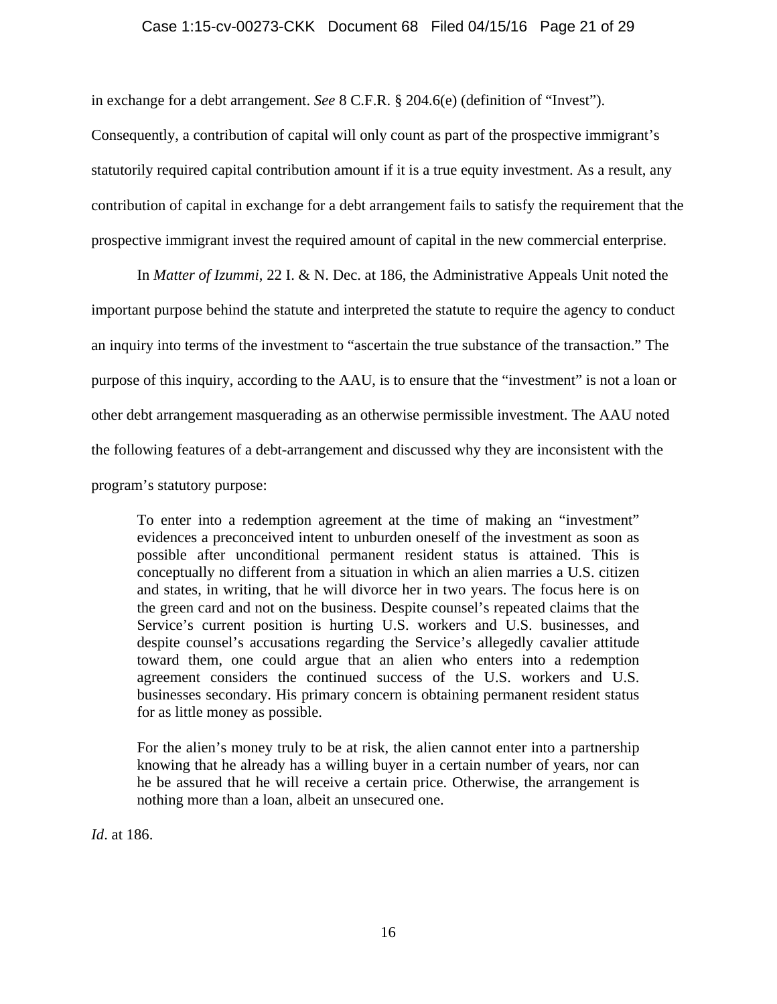### Case 1:15-cv-00273-CKK Document 68 Filed 04/15/16 Page 21 of 29

in exchange for a debt arrangement. *See* 8 C.F.R. § 204.6(e) (definition of "Invest").

Consequently, a contribution of capital will only count as part of the prospective immigrant's statutorily required capital contribution amount if it is a true equity investment. As a result, any contribution of capital in exchange for a debt arrangement fails to satisfy the requirement that the prospective immigrant invest the required amount of capital in the new commercial enterprise.

 In *Matter of Izummi*, 22 I. & N. Dec. at 186, the Administrative Appeals Unit noted the important purpose behind the statute and interpreted the statute to require the agency to conduct an inquiry into terms of the investment to "ascertain the true substance of the transaction." The purpose of this inquiry, according to the AAU, is to ensure that the "investment" is not a loan or other debt arrangement masquerading as an otherwise permissible investment. The AAU noted the following features of a debt-arrangement and discussed why they are inconsistent with the program's statutory purpose:

To enter into a redemption agreement at the time of making an "investment" evidences a preconceived intent to unburden oneself of the investment as soon as possible after unconditional permanent resident status is attained. This is conceptually no different from a situation in which an alien marries a U.S. citizen and states, in writing, that he will divorce her in two years. The focus here is on the green card and not on the business. Despite counsel's repeated claims that the Service's current position is hurting U.S. workers and U.S. businesses, and despite counsel's accusations regarding the Service's allegedly cavalier attitude toward them, one could argue that an alien who enters into a redemption agreement considers the continued success of the U.S. workers and U.S. businesses secondary. His primary concern is obtaining permanent resident status for as little money as possible.

For the alien's money truly to be at risk, the alien cannot enter into a partnership knowing that he already has a willing buyer in a certain number of years, nor can he be assured that he will receive a certain price. Otherwise, the arrangement is nothing more than a loan, albeit an unsecured one.

*Id*. at 186.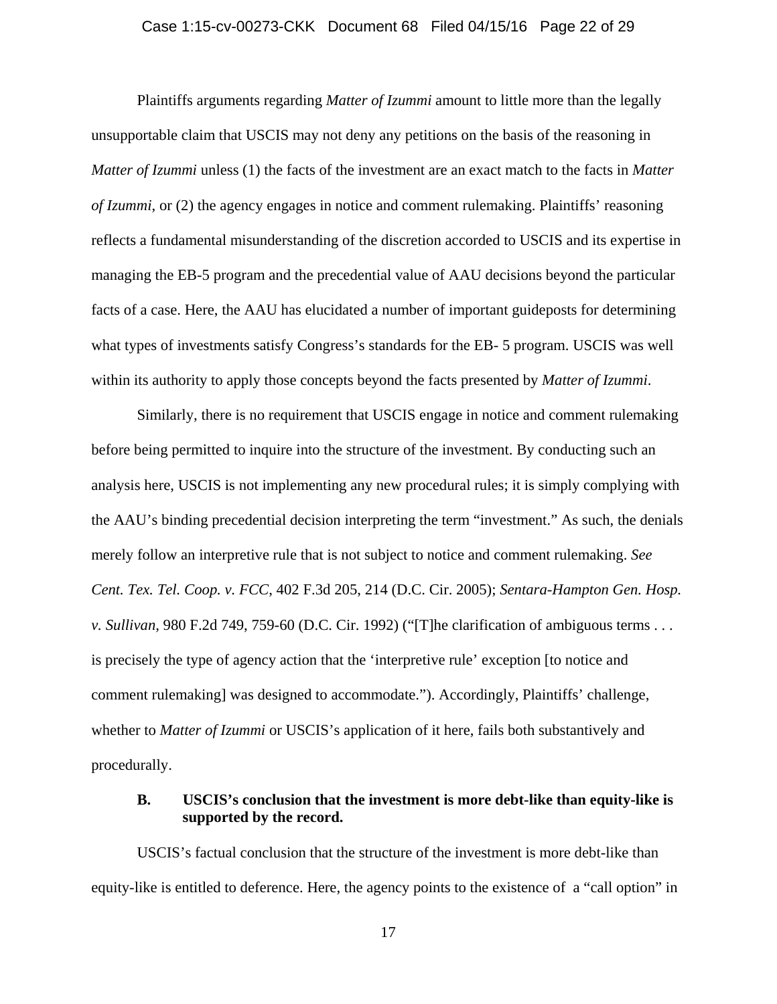#### Case 1:15-cv-00273-CKK Document 68 Filed 04/15/16 Page 22 of 29

 Plaintiffs arguments regarding *Matter of Izummi* amount to little more than the legally unsupportable claim that USCIS may not deny any petitions on the basis of the reasoning in *Matter of Izummi* unless (1) the facts of the investment are an exact match to the facts in *Matter of Izummi*, or (2) the agency engages in notice and comment rulemaking. Plaintiffs' reasoning reflects a fundamental misunderstanding of the discretion accorded to USCIS and its expertise in managing the EB-5 program and the precedential value of AAU decisions beyond the particular facts of a case. Here, the AAU has elucidated a number of important guideposts for determining what types of investments satisfy Congress's standards for the EB- 5 program. USCIS was well within its authority to apply those concepts beyond the facts presented by *Matter of Izummi*.

 Similarly, there is no requirement that USCIS engage in notice and comment rulemaking before being permitted to inquire into the structure of the investment. By conducting such an analysis here, USCIS is not implementing any new procedural rules; it is simply complying with the AAU's binding precedential decision interpreting the term "investment." As such, the denials merely follow an interpretive rule that is not subject to notice and comment rulemaking. *See Cent. Tex. Tel. Coop. v. FCC*, 402 F.3d 205, 214 (D.C. Cir. 2005); *Sentara-Hampton Gen. Hosp. v. Sullivan,* 980 F.2d 749, 759-60 (D.C. Cir. 1992) ("[T]he clarification of ambiguous terms . . . is precisely the type of agency action that the 'interpretive rule' exception [to notice and comment rulemaking] was designed to accommodate."). Accordingly, Plaintiffs' challenge, whether to *Matter of Izummi* or USCIS's application of it here, fails both substantively and procedurally.

### **B. USCIS's conclusion that the investment is more debt-like than equity-like is supported by the record.**

 USCIS's factual conclusion that the structure of the investment is more debt-like than equity-like is entitled to deference. Here, the agency points to the existence of a "call option" in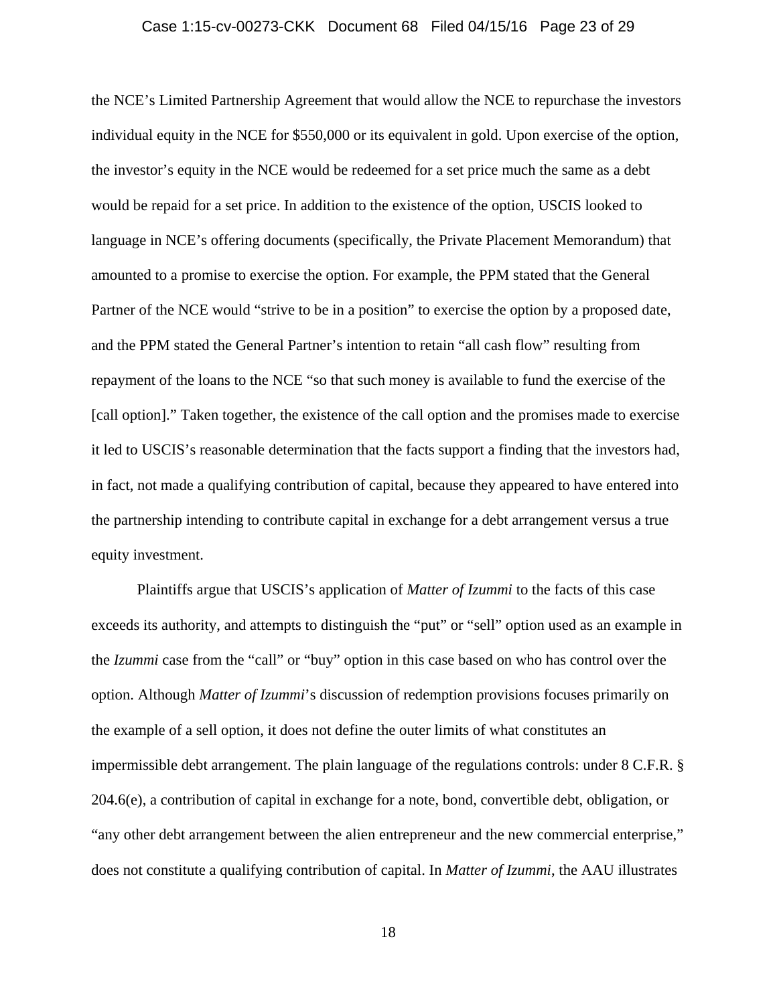#### Case 1:15-cv-00273-CKK Document 68 Filed 04/15/16 Page 23 of 29

the NCE's Limited Partnership Agreement that would allow the NCE to repurchase the investors individual equity in the NCE for \$550,000 or its equivalent in gold. Upon exercise of the option, the investor's equity in the NCE would be redeemed for a set price much the same as a debt would be repaid for a set price. In addition to the existence of the option, USCIS looked to language in NCE's offering documents (specifically, the Private Placement Memorandum) that amounted to a promise to exercise the option. For example, the PPM stated that the General Partner of the NCE would "strive to be in a position" to exercise the option by a proposed date, and the PPM stated the General Partner's intention to retain "all cash flow" resulting from repayment of the loans to the NCE "so that such money is available to fund the exercise of the [call option]." Taken together, the existence of the call option and the promises made to exercise it led to USCIS's reasonable determination that the facts support a finding that the investors had, in fact, not made a qualifying contribution of capital, because they appeared to have entered into the partnership intending to contribute capital in exchange for a debt arrangement versus a true equity investment.

 Plaintiffs argue that USCIS's application of *Matter of Izummi* to the facts of this case exceeds its authority, and attempts to distinguish the "put" or "sell" option used as an example in the *Izummi* case from the "call" or "buy" option in this case based on who has control over the option. Although *Matter of Izummi*'s discussion of redemption provisions focuses primarily on the example of a sell option, it does not define the outer limits of what constitutes an impermissible debt arrangement. The plain language of the regulations controls: under 8 C.F.R. § 204.6(e), a contribution of capital in exchange for a note, bond, convertible debt, obligation, or "any other debt arrangement between the alien entrepreneur and the new commercial enterprise," does not constitute a qualifying contribution of capital. In *Matter of Izummi*, the AAU illustrates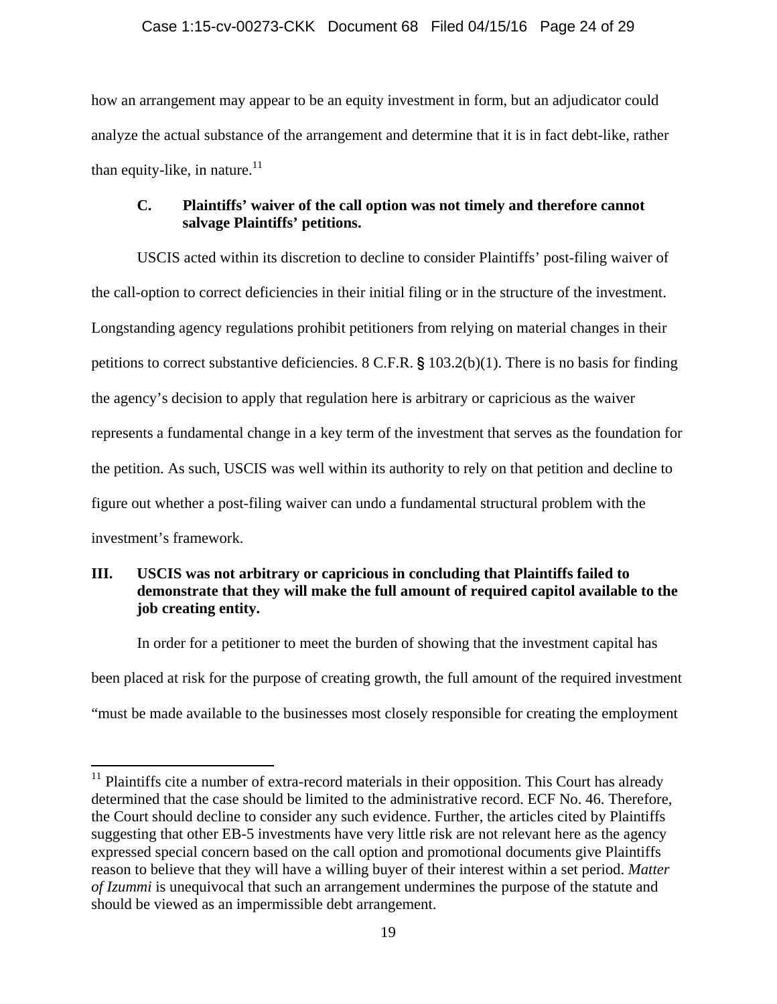### Case 1:15-cv-00273-CKK Document 68 Filed 04/15/16 Page 24 of 29

how an arrangement may appear to be an equity investment in form, but an adjudicator could analyze the actual substance of the arrangement and determine that it is in fact debt-like, rather than equity-like, in nature.<sup>11</sup>

## **C. Plaintiffs' waiver of the call option was not timely and therefore cannot salvage Plaintiffs' petitions.**

 USCIS acted within its discretion to decline to consider Plaintiffs' post-filing waiver of the call-option to correct deficiencies in their initial filing or in the structure of the investment. Longstanding agency regulations prohibit petitioners from relying on material changes in their petitions to correct substantive deficiencies. 8 C.F.R. § 103.2(b)(1). There is no basis for finding the agency's decision to apply that regulation here is arbitrary or capricious as the waiver represents a fundamental change in a key term of the investment that serves as the foundation for the petition. As such, USCIS was well within its authority to rely on that petition and decline to figure out whether a post-filing waiver can undo a fundamental structural problem with the investment's framework.

# **III. USCIS was not arbitrary or capricious in concluding that Plaintiffs failed to demonstrate that they will make the full amount of required capitol available to the job creating entity.**

 In order for a petitioner to meet the burden of showing that the investment capital has been placed at risk for the purpose of creating growth, the full amount of the required investment "must be made available to the businesses most closely responsible for creating the employment

 $\overline{a}$ 

 $11$  Plaintiffs cite a number of extra-record materials in their opposition. This Court has already determined that the case should be limited to the administrative record. ECF No. 46. Therefore, the Court should decline to consider any such evidence. Further, the articles cited by Plaintiffs suggesting that other EB-5 investments have very little risk are not relevant here as the agency expressed special concern based on the call option and promotional documents give Plaintiffs reason to believe that they will have a willing buyer of their interest within a set period. *Matter of Izummi* is unequivocal that such an arrangement undermines the purpose of the statute and should be viewed as an impermissible debt arrangement.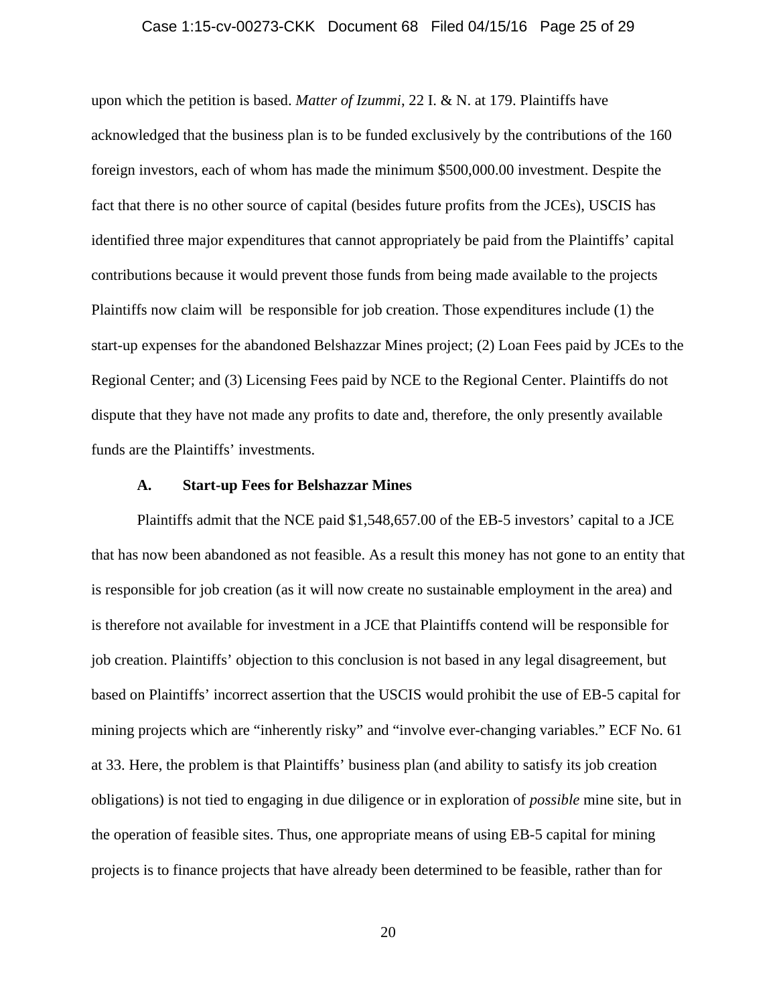#### Case 1:15-cv-00273-CKK Document 68 Filed 04/15/16 Page 25 of 29

upon which the petition is based. *Matter of Izummi*, 22 I. & N. at 179. Plaintiffs have acknowledged that the business plan is to be funded exclusively by the contributions of the 160 foreign investors, each of whom has made the minimum \$500,000.00 investment. Despite the fact that there is no other source of capital (besides future profits from the JCEs), USCIS has identified three major expenditures that cannot appropriately be paid from the Plaintiffs' capital contributions because it would prevent those funds from being made available to the projects Plaintiffs now claim will be responsible for job creation. Those expenditures include (1) the start-up expenses for the abandoned Belshazzar Mines project; (2) Loan Fees paid by JCEs to the Regional Center; and (3) Licensing Fees paid by NCE to the Regional Center. Plaintiffs do not dispute that they have not made any profits to date and, therefore, the only presently available funds are the Plaintiffs' investments.

#### **A. Start-up Fees for Belshazzar Mines**

 Plaintiffs admit that the NCE paid \$1,548,657.00 of the EB-5 investors' capital to a JCE that has now been abandoned as not feasible. As a result this money has not gone to an entity that is responsible for job creation (as it will now create no sustainable employment in the area) and is therefore not available for investment in a JCE that Plaintiffs contend will be responsible for job creation. Plaintiffs' objection to this conclusion is not based in any legal disagreement, but based on Plaintiffs' incorrect assertion that the USCIS would prohibit the use of EB-5 capital for mining projects which are "inherently risky" and "involve ever-changing variables." ECF No. 61 at 33. Here, the problem is that Plaintiffs' business plan (and ability to satisfy its job creation obligations) is not tied to engaging in due diligence or in exploration of *possible* mine site, but in the operation of feasible sites. Thus, one appropriate means of using EB-5 capital for mining projects is to finance projects that have already been determined to be feasible, rather than for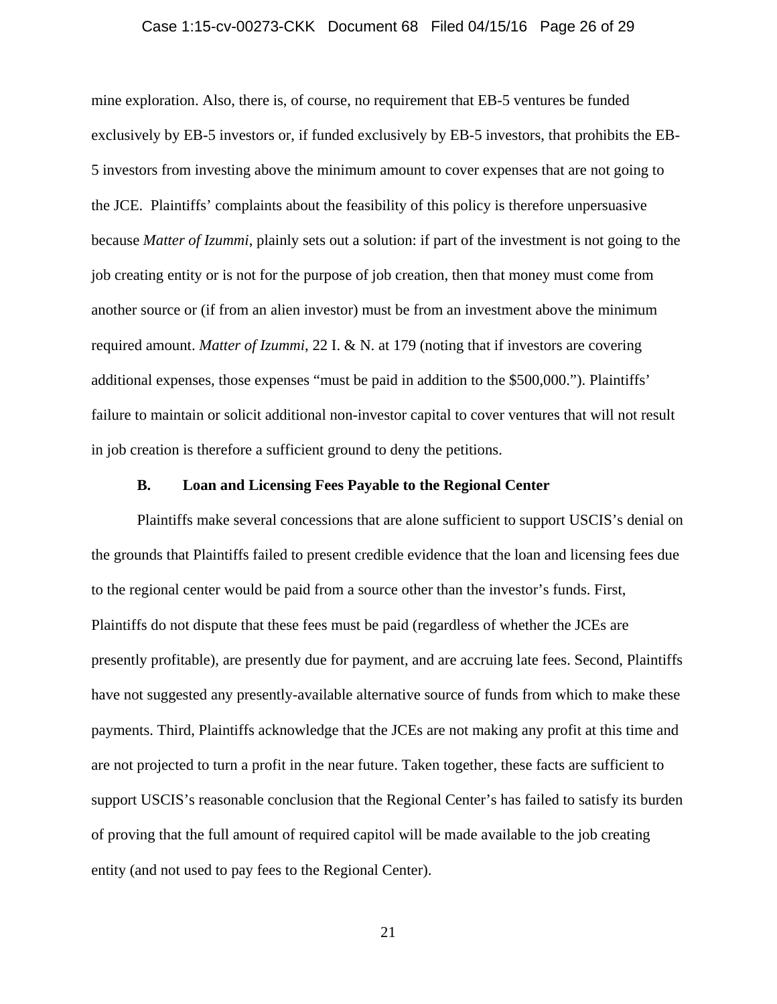#### Case 1:15-cv-00273-CKK Document 68 Filed 04/15/16 Page 26 of 29

mine exploration. Also, there is, of course, no requirement that EB-5 ventures be funded exclusively by EB-5 investors or, if funded exclusively by EB-5 investors, that prohibits the EB-5 investors from investing above the minimum amount to cover expenses that are not going to the JCE. Plaintiffs' complaints about the feasibility of this policy is therefore unpersuasive because *Matter of Izummi*, plainly sets out a solution: if part of the investment is not going to the job creating entity or is not for the purpose of job creation, then that money must come from another source or (if from an alien investor) must be from an investment above the minimum required amount. *Matter of Izummi*, 22 I. & N. at 179 (noting that if investors are covering additional expenses, those expenses "must be paid in addition to the \$500,000."). Plaintiffs' failure to maintain or solicit additional non-investor capital to cover ventures that will not result in job creation is therefore a sufficient ground to deny the petitions.

#### **B. Loan and Licensing Fees Payable to the Regional Center**

 Plaintiffs make several concessions that are alone sufficient to support USCIS's denial on the grounds that Plaintiffs failed to present credible evidence that the loan and licensing fees due to the regional center would be paid from a source other than the investor's funds. First, Plaintiffs do not dispute that these fees must be paid (regardless of whether the JCEs are presently profitable), are presently due for payment, and are accruing late fees. Second, Plaintiffs have not suggested any presently-available alternative source of funds from which to make these payments. Third, Plaintiffs acknowledge that the JCEs are not making any profit at this time and are not projected to turn a profit in the near future. Taken together, these facts are sufficient to support USCIS's reasonable conclusion that the Regional Center's has failed to satisfy its burden of proving that the full amount of required capitol will be made available to the job creating entity (and not used to pay fees to the Regional Center).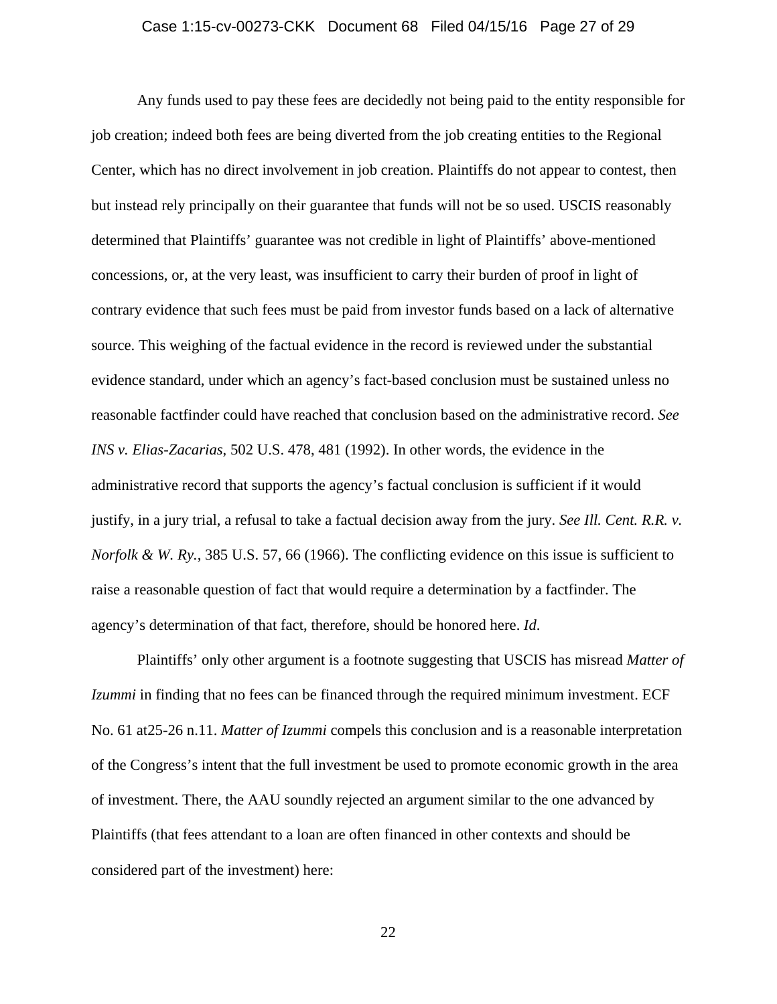#### Case 1:15-cv-00273-CKK Document 68 Filed 04/15/16 Page 27 of 29

 Any funds used to pay these fees are decidedly not being paid to the entity responsible for job creation; indeed both fees are being diverted from the job creating entities to the Regional Center, which has no direct involvement in job creation. Plaintiffs do not appear to contest, then but instead rely principally on their guarantee that funds will not be so used. USCIS reasonably determined that Plaintiffs' guarantee was not credible in light of Plaintiffs' above-mentioned concessions, or, at the very least, was insufficient to carry their burden of proof in light of contrary evidence that such fees must be paid from investor funds based on a lack of alternative source. This weighing of the factual evidence in the record is reviewed under the substantial evidence standard, under which an agency's fact-based conclusion must be sustained unless no reasonable factfinder could have reached that conclusion based on the administrative record. *See INS v. Elias-Zacarias*, 502 U.S. 478, 481 (1992). In other words, the evidence in the administrative record that supports the agency's factual conclusion is sufficient if it would justify, in a jury trial, a refusal to take a factual decision away from the jury. *See Ill. Cent. R.R. v. Norfolk & W. Ry.*, 385 U.S. 57, 66 (1966). The conflicting evidence on this issue is sufficient to raise a reasonable question of fact that would require a determination by a factfinder. The agency's determination of that fact, therefore, should be honored here. *Id*.

 Plaintiffs' only other argument is a footnote suggesting that USCIS has misread *Matter of Izummi* in finding that no fees can be financed through the required minimum investment. ECF No. 61 at25-26 n.11. *Matter of Izummi* compels this conclusion and is a reasonable interpretation of the Congress's intent that the full investment be used to promote economic growth in the area of investment. There, the AAU soundly rejected an argument similar to the one advanced by Plaintiffs (that fees attendant to a loan are often financed in other contexts and should be considered part of the investment) here: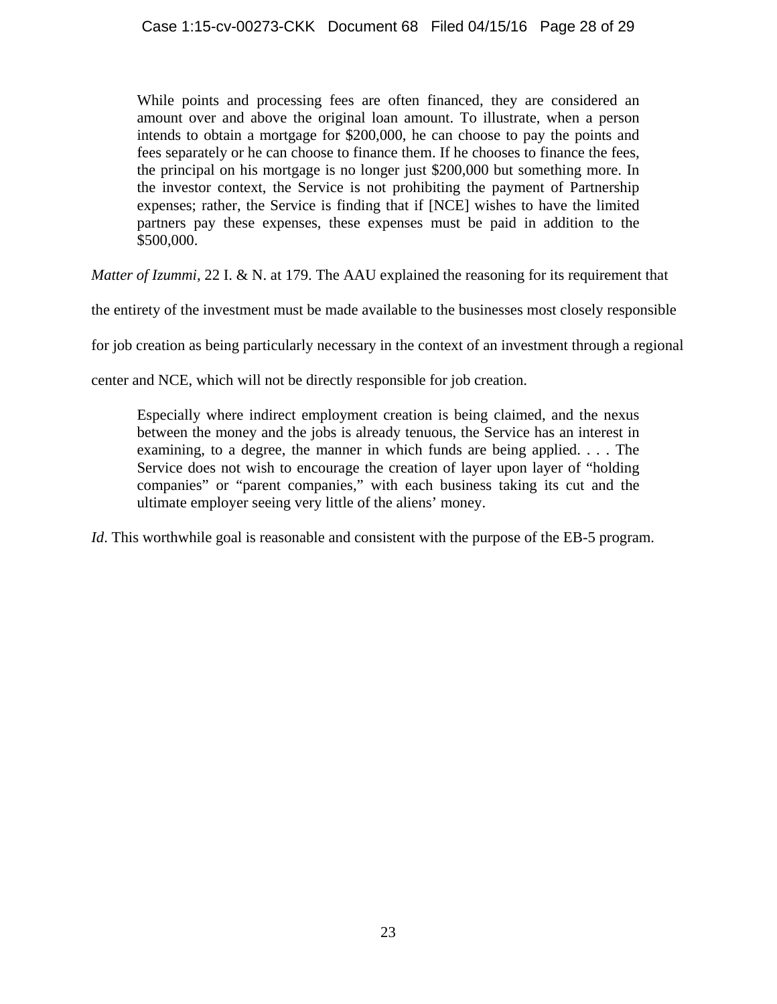While points and processing fees are often financed, they are considered an amount over and above the original loan amount. To illustrate, when a person intends to obtain a mortgage for \$200,000, he can choose to pay the points and fees separately or he can choose to finance them. If he chooses to finance the fees, the principal on his mortgage is no longer just \$200,000 but something more. In the investor context, the Service is not prohibiting the payment of Partnership expenses; rather, the Service is finding that if [NCE] wishes to have the limited partners pay these expenses, these expenses must be paid in addition to the \$500,000.

*Matter of Izummi*, 22 I. & N. at 179. The AAU explained the reasoning for its requirement that

the entirety of the investment must be made available to the businesses most closely responsible

for job creation as being particularly necessary in the context of an investment through a regional

center and NCE, which will not be directly responsible for job creation.

Especially where indirect employment creation is being claimed, and the nexus between the money and the jobs is already tenuous, the Service has an interest in examining, to a degree, the manner in which funds are being applied. . . . The Service does not wish to encourage the creation of layer upon layer of "holding companies" or "parent companies," with each business taking its cut and the ultimate employer seeing very little of the aliens' money.

*Id*. This worthwhile goal is reasonable and consistent with the purpose of the EB-5 program.